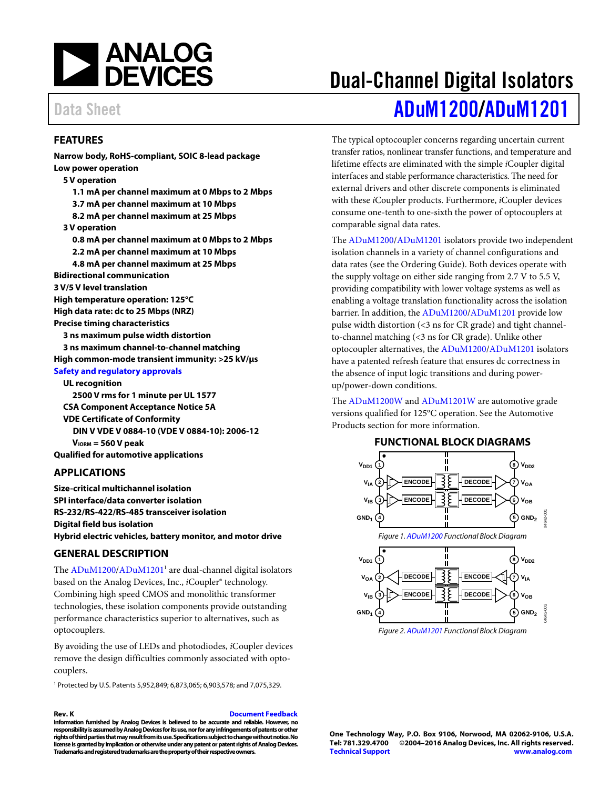

### <span id="page-0-0"></span>**FEATURES**

**Narrow body, RoHS-compliant, SOIC 8-lead package Low power operation 5 V operation 1.1 mA per channel maximum at 0 Mbps to 2 Mbps 3.7 mA per channel maximum at 10 Mbps 8.2 mA per channel maximum at 25 Mbps 3 V operation 0.8 mA per channel maximum at 0 Mbps to 2 Mbps 2.2 mA per channel maximum at 10 Mbps 4.8 mA per channel maximum at 25 Mbps Bidirectional communication 3 V/5 V level translation High temperature operation: 125°C High data rate: dc to 25 Mbps (NRZ) Precise timing characteristics 3 ns maximum pulse width distortion 3 ns maximum channel-to-channel matching High common-mode transient immunity: >25 kV/μs [Safety and regulatory approvals](http://www.analog.com/icouplersafety?doc=ADuM1200_ADuM1201) UL recognition 2500 V rms for 1 minute per UL 1577 CSA Component Acceptance Notice 5A** 

**VDE Certificate of Conformity DIN V VDE V 0884-10 (VDE V 0884-10): 2006-12 VIORM = 560 V peak Qualified for automotive applications** 

### <span id="page-0-1"></span>**APPLICATIONS**

**Size-critical multichannel isolation SPI interface/data converter isolation RS-232/RS-422/RS-485 transceiver isolation Digital field bus isolation Hybrid electric vehicles, battery monitor, and motor drive** 

### <span id="page-0-2"></span>**GENERAL DESCRIPTION**

The [ADuM1200/](http://www.analog.com/ADuM1200?doc=ADuM1200_1201.pdf)ADuM1201<sup>1</sup> are dual-channel digital isolators based on the Analog Devices, Inc., *i*Coupler® technology. Combining high speed CMOS and monolithic transformer technologies, these isolation components provide outstanding performance characteristics superior to alternatives, such as optocouplers.

By avoiding the use of LEDs and photodiodes, *i*Coupler devices remove the design difficulties commonly associated with optocouplers.

1 Protected by U.S. Patents 5,952,849; 6,873,065; 6,903,578; and 7,075,329.

**Rev. K [Document Feedback](https://form.analog.com/Form_Pages/feedback/documentfeedback.aspx?doc=ADuM1200_ADuM1201.pdf&product=ADuM1200%20ADuM1201&rev=K)  Information furnished by Analog Devices is believed to be accurate and reliable. However, no responsibility is assumed by Analog Devices for its use, nor for any infringements of patents or other** 

**Trademarks and registered trademarks are the property of their respective owners.** 

**rights of third parties that may result from its use. Specifications subject to change without notice. No license is granted by implication or otherwise under any patent or patent rights of Analog Devices.** 

# Dual-Channel Digital Isolators Data Sheet **[ADuM1200/](http://www.analog.com/ADuM1200?doc=ADuM1200_1201.pdf)[ADuM1201](http://www.analog.com/ADuM1201?doc=ADuM1200_1201.pdf)**

The typical optocoupler concerns regarding uncertain current transfer ratios, nonlinear transfer functions, and temperature and lifetime effects are eliminated with the simple *i*Coupler digital interfaces and stable performance characteristics. The need for external drivers and other discrete components is eliminated with these *i*Coupler products. Furthermore, *i*Coupler devices consume one-tenth to one-sixth the power of optocouplers at comparable signal data rates.

The [ADuM1200/](http://www.analog.com/ADuM1200?doc=ADuM1200_1201.pdf)[ADuM1201 i](http://www.analog.com/ADuM1201?doc=ADuM1200_1201.pdf)solators provide two independent isolation channels in a variety of channel configurations and data rates (see th[e Ordering Guide\)](#page-26-0). Both devices operate with the supply voltage on either side ranging from 2.7 V to 5.5 V, providing compatibility with lower voltage systems as well as enabling a voltage translation functionality across the isolation barrier. In addition, the [ADuM1200](http://www.analog.com/ADuM1200?doc=ADuM1200_1201.pdf)[/ADuM1201 p](http://www.analog.com/ADuM1201?doc=ADuM1200_1201.pdf)rovide low pulse width distortion (<3 ns for CR grade) and tight channelto-channel matching (<3 ns for CR grade). Unlike other optocoupler alternatives, the [ADuM1200/](http://www.analog.com/ADuM1200?doc=ADuM1200_1201.pdf)[ADuM1201 i](http://www.analog.com/ADuM1201?doc=ADuM1200_1201.pdf)solators have a patented refresh feature that ensures dc correctness in the absence of input logic transitions and during powerup/power-down conditions.

The [ADuM1200W a](http://www.analog.com/ADuM1200?doc=ADuM1200_1201.pdf)n[d ADuM1201W a](http://www.analog.com/ADuM1201?doc=ADuM1200_1201.pdf)re automotive grade versions qualified for 125°C operation. See th[e Automotive](#page-27-0)  [Products](#page-27-0) section for more information.

#### **FUNCTIONAL BLOCK DIAGRAMS**

<span id="page-0-3"></span>

Figure 2. [ADuM1201 F](http://www.analog.com/ADuM1201?doc=ADuM1200_1201.pdf)unctional Block Diagram

**One Technology Way, P.O. Box 9106, Norwood, MA 02062-9106, U.S.A.** ©2004-2016 Analog Devices, Inc. All rights reserved. **[Technical Support](http://www.analog.com/en/content/technical_support_page/fca.html) [www.analog.com](http://www.analog.com/)**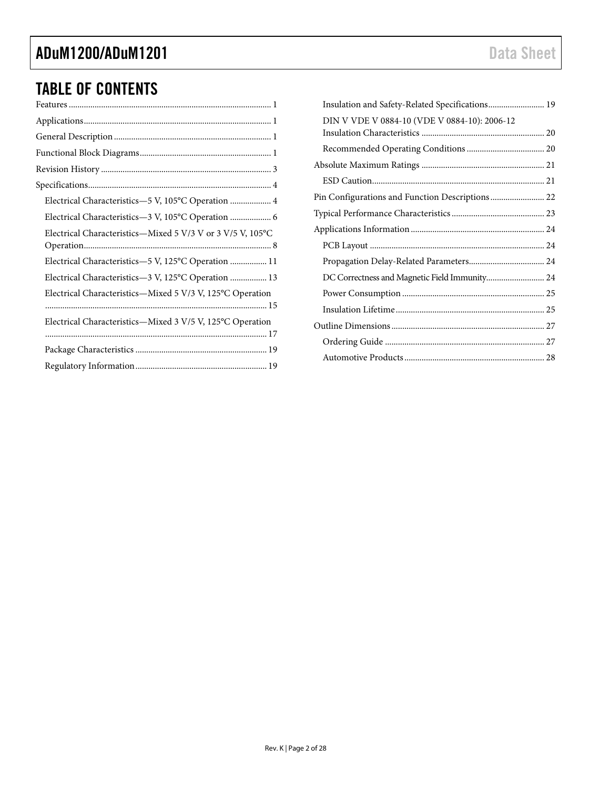# TABLE OF CONTENTS

| Electrical Characteristics-5 V, 105°C Operation  4         |
|------------------------------------------------------------|
| Electrical Characteristics-3 V, 105°C Operation  6         |
| Electrical Characteristics-Mixed 5 V/3 V or 3 V/5 V, 105°C |
| Electrical Characteristics-5 V, 125°C Operation  11        |
| Electrical Characteristics-3 V, 125°C Operation  13        |
| Electrical Characteristics-Mixed 5 V/3 V, 125°C Operation  |
| Electrical Characteristics—Mixed 3 V/5 V, 125°C Operation  |
|                                                            |
|                                                            |

| Insulation and Safety-Related Specifications 19 |  |
|-------------------------------------------------|--|
| DIN V VDE V 0884-10 (VDE V 0884-10): 2006-12    |  |
|                                                 |  |
|                                                 |  |
|                                                 |  |
|                                                 |  |
| Pin Configurations and Function Descriptions 22 |  |
|                                                 |  |
|                                                 |  |
|                                                 |  |
|                                                 |  |
| DC Correctness and Magnetic Field Immunity 24   |  |
|                                                 |  |
|                                                 |  |
|                                                 |  |
|                                                 |  |
|                                                 |  |
|                                                 |  |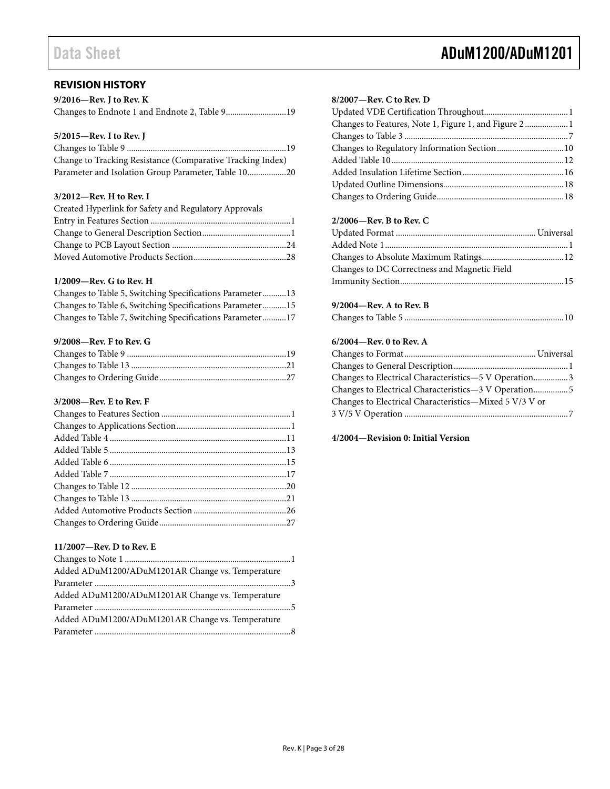# Data Sheet **ADuM1200/ADuM1201**

### <span id="page-2-0"></span>**REVISION HISTORY**

| $9/2016$ —Rev. J to Rev. K                    |  |
|-----------------------------------------------|--|
| Changes to Endnote 1 and Endnote 2, Table 919 |  |

### **5/2015—Rev. I to Rev. J**

| Change to Tracking Resistance (Comparative Tracking Index) |  |
|------------------------------------------------------------|--|
| Parameter and Isolation Group Parameter, Table 1020        |  |

#### **3/2012—Rev. H to Rev. I**

| Created Hyperlink for Safety and Regulatory Approvals |  |
|-------------------------------------------------------|--|
|                                                       |  |
|                                                       |  |
|                                                       |  |
|                                                       |  |

### **1/2009—Rev. G to Rev. H**

|  |  | Changes to Table 5, Switching Specifications Parameter13 |  |
|--|--|----------------------------------------------------------|--|
|  |  | Changes to Table 6, Switching Specifications Parameter15 |  |
|  |  | Changes to Table 7, Switching Specifications Parameter17 |  |

#### **9/2008—Rev. F to Rev. G**

### **3/2008—Rev. E to Rev. F**

#### **11/2007—Rev. D to Rev. E**

| Added ADuM1200/ADuM1201AR Change vs. Temperature |  |
|--------------------------------------------------|--|
|                                                  |  |
| Added ADuM1200/ADuM1201AR Change vs. Temperature |  |
|                                                  |  |
| Added ADuM1200/ADuM1201AR Change vs. Temperature |  |
|                                                  |  |

#### **8/2007—Rev. C to Rev. D**

| Changes to Features, Note 1, Figure 1, and Figure 2 1 |  |
|-------------------------------------------------------|--|
|                                                       |  |
|                                                       |  |
|                                                       |  |
|                                                       |  |
|                                                       |  |
|                                                       |  |

### **2/2006—Rev. B to Rev. C**

| Changes to DC Correctness and Magnetic Field |  |
|----------------------------------------------|--|
|                                              |  |

#### **9/2004—Rev. A to Rev. B**

|--|--|--|

### **6/2004—Rev. 0 to Rev. A**

| Changes to Electrical Characteristics-5 V Operation3   |  |
|--------------------------------------------------------|--|
|                                                        |  |
| Changes to Electrical Characteristics-Mixed 5 V/3 V or |  |
|                                                        |  |
|                                                        |  |

### **4/2004—Revision 0: Initial Version**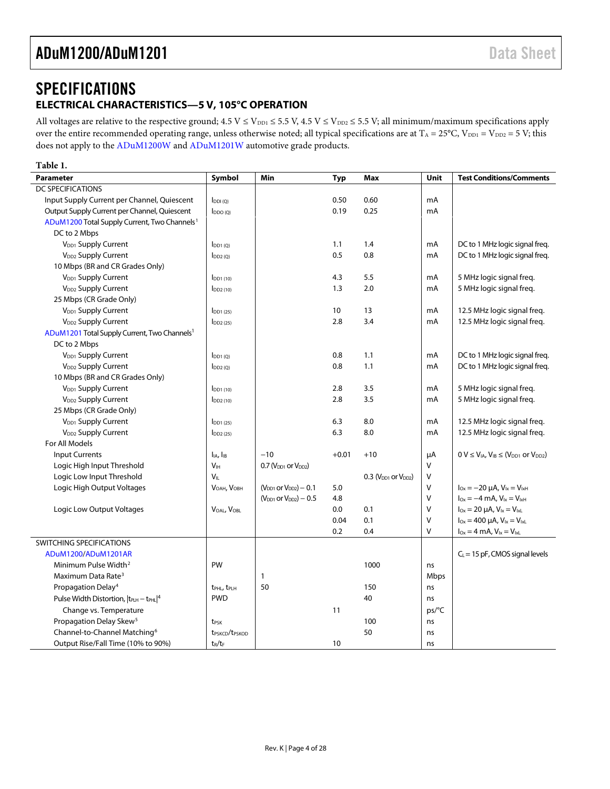# <span id="page-3-0"></span>**SPECIFICATIONS ELECTRICAL CHARACTERISTICS—5 V, 105°C OPERATION**

<span id="page-3-1"></span>All voltages are relative to the respective ground;  $4.5 V \le V_{DD1} \le 5.5 V$ ,  $4.5 V \le V_{DD2} \le 5.5 V$ ; all minimum/maximum specifications apply over the entire recommended operating range, unless otherwise noted; all typical specifications are at  $T_A = 25^{\circ}C$ ,  $V_{DD1} = V_{DD2} = 5 V$ ; this does not apply to the [ADuM1200W](http://www.analog.com/ADuM1200?doc=ADuM1200_1201.pdf) an[d ADuM1201W](http://www.analog.com/ADuM1201?doc=ADuM1200_1201.pdf) automotive grade products.

### **Table 1.**

| <b>Parameter</b>                                              | Symbol                                 | Min                            | Typ     | Max                        | Unit   | <b>Test Conditions/Comments</b>                              |
|---------------------------------------------------------------|----------------------------------------|--------------------------------|---------|----------------------------|--------|--------------------------------------------------------------|
| DC SPECIFICATIONS                                             |                                        |                                |         |                            |        |                                                              |
| Input Supply Current per Channel, Quiescent                   | $I_{DDI(O)}$                           |                                | 0.50    | 0.60                       | mA     |                                                              |
| Output Supply Current per Channel, Quiescent                  | $I_{DDO(Q)}$                           |                                | 0.19    | 0.25                       | mA     |                                                              |
| ADuM1200 Total Supply Current, Two Channels <sup>1</sup>      |                                        |                                |         |                            |        |                                                              |
| DC to 2 Mbps                                                  |                                        |                                |         |                            |        |                                                              |
| V <sub>DD1</sub> Supply Current                               | $I_{DD1(0)}$                           |                                | 1.1     | 1.4                        | mA     | DC to 1 MHz logic signal freq.                               |
| V <sub>DD2</sub> Supply Current                               | $I_{DD2(Q)}$                           |                                | 0.5     | 0.8                        | mA     | DC to 1 MHz logic signal freq.                               |
| 10 Mbps (BR and CR Grades Only)                               |                                        |                                |         |                            |        |                                                              |
| V <sub>DD1</sub> Supply Current                               | $I_{DD1(10)}$                          |                                | 4.3     | 5.5                        | mA     | 5 MHz logic signal freq.                                     |
| V <sub>DD2</sub> Supply Current                               | $I_{DD2(10)}$                          |                                | 1.3     | 2.0                        | mA     | 5 MHz logic signal freq.                                     |
| 25 Mbps (CR Grade Only)                                       |                                        |                                |         |                            |        |                                                              |
| V <sub>DD1</sub> Supply Current                               | $I_{DD1(25)}$                          |                                | 10      | 13                         | mA     | 12.5 MHz logic signal freq.                                  |
| V <sub>DD2</sub> Supply Current                               | $I_{DD2(25)}$                          |                                | 2.8     | 3.4                        | mA     | 12.5 MHz logic signal freq.                                  |
| ADuM1201 Total Supply Current, Two Channels <sup>1</sup>      |                                        |                                |         |                            |        |                                                              |
| DC to 2 Mbps                                                  |                                        |                                |         |                            |        |                                                              |
| V <sub>DD1</sub> Supply Current                               | $I_{DD1(Q)}$                           |                                | 0.8     | 1.1                        | mA     | DC to 1 MHz logic signal freq.                               |
| V <sub>DD2</sub> Supply Current                               | $I_{DD2(Q)}$                           |                                | 0.8     | 1.1                        | mA     | DC to 1 MHz logic signal freq.                               |
| 10 Mbps (BR and CR Grades Only)                               |                                        |                                |         |                            |        |                                                              |
| V <sub>DD1</sub> Supply Current                               | $I_{DD1(10)}$                          |                                | 2.8     | 3.5                        | mA     | 5 MHz logic signal freq.                                     |
| V <sub>DD2</sub> Supply Current                               | $I_{DD2(10)}$                          |                                | 2.8     | 3.5                        | mA     | 5 MHz logic signal freq.                                     |
| 25 Mbps (CR Grade Only)                                       |                                        |                                |         |                            |        |                                                              |
| V <sub>DD1</sub> Supply Current                               | $I$ <sub>DD1</sub> $(25)$              |                                | 6.3     | 8.0                        | mA     | 12.5 MHz logic signal freq.                                  |
| V <sub>DD2</sub> Supply Current                               | $\overline{DD2(25)}$                   |                                | 6.3     | 8.0                        | mA     | 12.5 MHz logic signal freq.                                  |
| For All Models                                                |                                        |                                |         |                            |        |                                                              |
| <b>Input Currents</b>                                         | I <sub>IA</sub> , I <sub>IB</sub>      | $-10$                          | $+0.01$ | $+10$                      | μA     | $0 V \leq V_{IA}$ , $V_{IB} \leq (V_{DD1}$ or $V_{DD2})$     |
| Logic High Input Threshold                                    | V <sub>IH</sub>                        | 0.7 ( $V_{DD1}$ or $V_{DD2}$ ) |         |                            | $\vee$ |                                                              |
| Logic Low Input Threshold                                     | V <sub>II</sub>                        |                                |         | $0.3$ ( $VDD1$ or $VDD2$ ) | V      |                                                              |
| Logic High Output Voltages                                    | V <sub>OAH</sub> , V <sub>OBH</sub>    | $(V_{DD1}$ or $V_{DD2}) - 0.1$ | 5.0     |                            | $\vee$ | $I_{Ox} = -20 \mu A$ , $V_{1x} = V_{1xH}$                    |
|                                                               |                                        | $(V_{DD1}$ or $V_{DD2}) - 0.5$ | 4.8     |                            | $\vee$ | $I_{Ox} = -4$ mA, $V_{1x} = V_{1xH}$                         |
| Logic Low Output Voltages                                     | VOAL, VOBL                             |                                | 0.0     | 0.1                        | V      | $I_{\text{Ox}} = 20 \mu A$ , $V_{\text{lx}} = V_{\text{lx}}$ |
|                                                               |                                        |                                | 0.04    | 0.1                        | $\vee$ | $I_{Ox} = 400 \mu A$ , $V_{ix} = V_{ixL}$                    |
|                                                               |                                        |                                | 0.2     | 0.4                        | $\vee$ | $I_{Ox} = 4$ mA, $V_{1x} = V_{1xL}$                          |
| SWITCHING SPECIFICATIONS                                      |                                        |                                |         |                            |        |                                                              |
| ADuM1200/ADuM1201AR                                           |                                        |                                |         |                            |        | $C_L$ = 15 pF, CMOS signal levels                            |
| Minimum Pulse Width <sup>2</sup>                              | PW                                     |                                |         | 1000                       | ns     |                                                              |
| Maximum Data Rate <sup>3</sup>                                |                                        | $\mathbf{1}$                   |         |                            | Mbps   |                                                              |
| Propagation Delay <sup>4</sup>                                | t <sub>PHL</sub> , t <sub>PLH</sub>    | 50                             |         | 150                        | ns     |                                                              |
| Pulse Width Distortion, $ t_{\text{PLH}} - t_{\text{PHL}} ^4$ | <b>PWD</b>                             |                                |         | 40                         | ns     |                                                              |
| Change vs. Temperature                                        |                                        |                                | 11      |                            | ps/°C  |                                                              |
| Propagation Delay Skew <sup>5</sup>                           | t <sub>PSK</sub>                       |                                |         | 100                        | ns     |                                                              |
| Channel-to-Channel Matching <sup>6</sup>                      | t <sub>PSKCD</sub> /t <sub>PSKOD</sub> |                                |         | 50                         | ns     |                                                              |
| Output Rise/Fall Time (10% to 90%)                            | $t_R/t_F$                              |                                | 10      |                            | ns     |                                                              |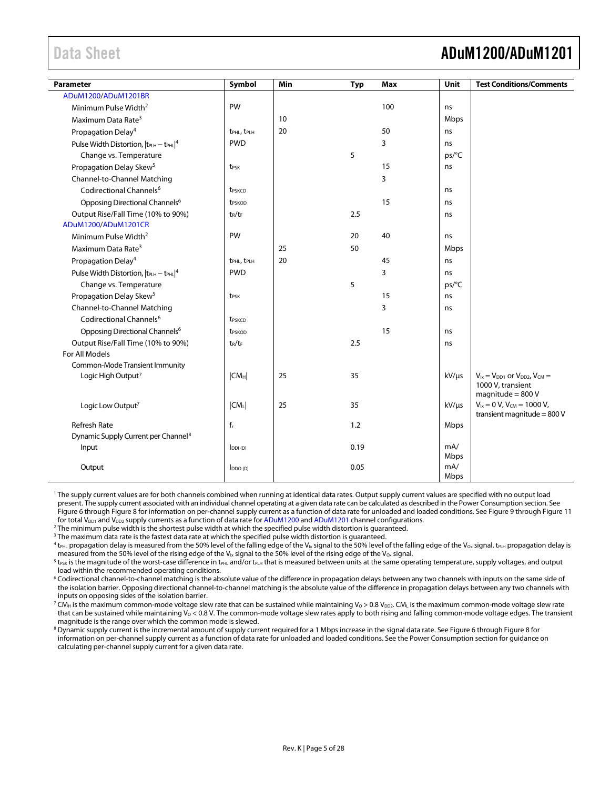# <span id="page-4-0"></span>Data Sheet **ADuM1200/ADuM1201**

| Parameter                                                     | Symbol                              | Min | <b>Typ</b> | Max | Unit        | <b>Test Conditions/Comments</b>              |
|---------------------------------------------------------------|-------------------------------------|-----|------------|-----|-------------|----------------------------------------------|
| ADuM1200/ADuM1201BR                                           |                                     |     |            |     |             |                                              |
| Minimum Pulse Width <sup>2</sup>                              | PW                                  |     |            | 100 | ns          |                                              |
| Maximum Data Rate <sup>3</sup>                                |                                     | 10  |            |     | Mbps        |                                              |
| Propagation Delay <sup>4</sup>                                | t <sub>PHL</sub> , t <sub>PLH</sub> | 20  |            | 50  | ns          |                                              |
| Pulse Width Distortion, $ t_{\text{PLH}} - t_{\text{PHL}} ^4$ | <b>PWD</b>                          |     |            | 3   | ns          |                                              |
| Change vs. Temperature                                        |                                     |     | 5          |     | ps/°C       |                                              |
| Propagation Delay Skew <sup>5</sup>                           | t <sub>PSK</sub>                    |     |            | 15  | ns          |                                              |
| Channel-to-Channel Matching                                   |                                     |     |            | 3   |             |                                              |
| Codirectional Channels <sup>6</sup>                           | t <sub>PSKCD</sub>                  |     |            |     | ns          |                                              |
| Opposing Directional Channels <sup>6</sup>                    | t <sub>PSKOD</sub>                  |     |            | 15  | ns          |                                              |
| Output Rise/Fall Time (10% to 90%)                            | $t_R/t_F$                           |     | 2.5        |     | ns          |                                              |
| ADuM1200/ADuM1201CR                                           |                                     |     |            |     |             |                                              |
| Minimum Pulse Width <sup>2</sup>                              | PW                                  |     | 20         | 40  | ns          |                                              |
| Maximum Data Rate <sup>3</sup>                                |                                     | 25  | 50         |     | Mbps        |                                              |
| Propagation Delay <sup>4</sup>                                | t <sub>PHL</sub> , t <sub>PLH</sub> | 20  |            | 45  | ns          |                                              |
| Pulse Width Distortion, $ t_{PLH} - t_{PHL} ^4$               | <b>PWD</b>                          |     |            | 3   | ns          |                                              |
| Change vs. Temperature                                        |                                     |     | 5          |     | ps/°C       |                                              |
| Propagation Delay Skew <sup>5</sup>                           | t <sub>PSK</sub>                    |     |            | 15  | ns          |                                              |
| Channel-to-Channel Matching                                   |                                     |     |            | 3   | ns          |                                              |
| Codirectional Channels <sup>6</sup>                           | t <sub>PSKCD</sub>                  |     |            |     |             |                                              |
| Opposing Directional Channels <sup>6</sup>                    | t <sub>PSKOD</sub>                  |     |            | 15  | ns          |                                              |
| Output Rise/Fall Time (10% to 90%)                            | $t_R/t_F$                           |     | 2.5        |     | ns          |                                              |
| For All Models                                                |                                     |     |            |     |             |                                              |
| Common-Mode Transient Immunity                                |                                     |     |            |     |             |                                              |
| Logic High Output <sup>7</sup>                                | CM <sub>H</sub>                     | 25  | 35         |     | $kV/\mu s$  | $V_{1x} = V_{DD1}$ or $V_{DD2}$ , $V_{CM} =$ |
|                                                               |                                     |     |            |     |             | 1000 V, transient<br>magnitude = $800V$      |
| Logic Low Output <sup>7</sup>                                 | $ CM_L $                            | 25  | 35         |     | $kV/\mu s$  | $V_{1x} = 0 V$ , $V_{CM} = 1000 V$ ,         |
|                                                               |                                     |     |            |     |             | transient magnitude = $800V$                 |
| <b>Refresh Rate</b>                                           | $f_r$                               |     | 1.2        |     | Mbps        |                                              |
| Dynamic Supply Current per Channel <sup>8</sup>               |                                     |     |            |     |             |                                              |
| Input                                                         | $I_{DDI(D)}$                        |     | 0.19       |     | mA/         |                                              |
|                                                               |                                     |     |            |     | Mbps        |                                              |
| Output                                                        | $I_{DDO(D)}$                        |     | 0.05       |     | mA/<br>Mbps |                                              |

<sup>1</sup> The supply current values are for both channels combined when running at identical data rates. Output supply current values are specified with no output load present. The supply current associated with an individual channel operating at a given data rate can be calculated as described in th[e Power Consumption](#page-24-0) section. See [Figure 6](#page-22-1) throug[h Figure 8](#page-22-2) for information on per-channel supply current as a function of data rate for unloaded and loaded conditions. Se[e Figure 9](#page-22-3) throug[h Figure 11](#page-22-4) for total V<sub>DD1</sub> and V<sub>DD2</sub> supply currents as a function of data rate fo[r ADuM1200](http://www.analog.com/ADuM1200?doc=ADuM1200_1201.pdf) and [ADuM1201](http://www.analog.com/ADuM1201?doc=ADuM1200_1201.pdf) channel configurations.

<sup>2</sup> The minimum pulse width is the shortest pulse width at which the specified pulse width distortion is guaranteed.

<sup>3</sup> The maximum data rate is the fastest data rate at which the specified pulse width distortion is quaranteed.

 $^4$  t<sub>PHL</sub> propagation delay is measured from the 50% level of the falling edge of the V<sub>Ix</sub> signal to the 50% level of the falling edge of the V<sub>Ox</sub> signal. t<sub>PLH</sub> propagation delay is measured from the 50% level of the rising edge of the V<sub>Ix</sub> signal to the 50% level of the rising edge of the V<sub>Ox</sub> signal.

 $^5$  t $_{\rm{PSK}}$  is the magnitude of the worst-case difference in t $_{\rm{PHL}}$  and/or t $_{\rm{PLH}}$  that is measured between units at the same operating temperature, supply voltages, and output load within the recommended operating conditions.

<sup>6</sup> Codirectional channel-to-channel matching is the absolute value of the difference in propagation delays between any two channels with inputs on the same side of the isolation barrier. Opposing directional channel-to-channel matching is the absolute value of the difference in propagation delays between any two channels with inputs on opposing sides of the isolation barrier.

<sup>7</sup> CM<sub>H</sub> is the maximum common-mode voltage slew rate that can be sustained while maintaining V<sub>0</sub> > 0.8 V<sub>DD2</sub>. CM<sub>L</sub> is the maximum common-mode voltage slew rate that can be sustained while maintaining  $V_0 < 0.8$  V. The common-mode voltage slew rates apply to both rising and falling common-mode voltage edges. The transient magnitude is the range over which the common mode is slewe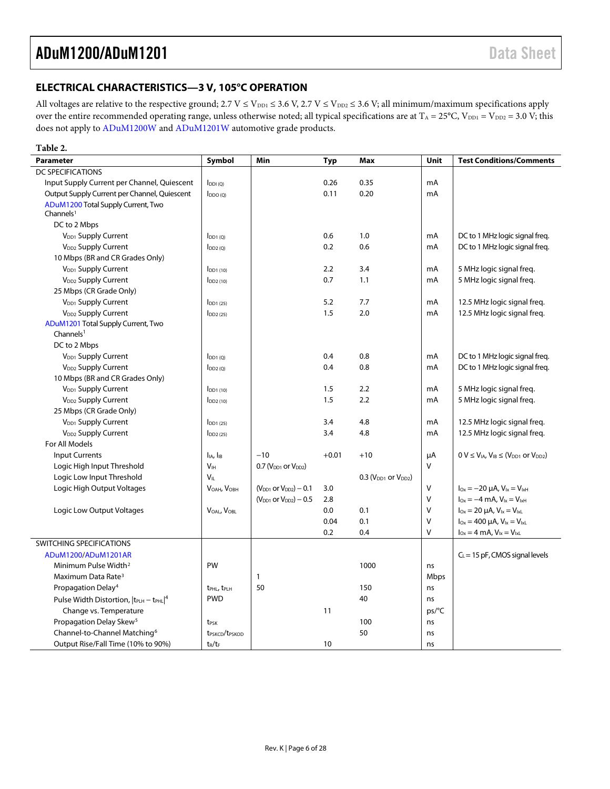## <span id="page-5-0"></span>**ELECTRICAL CHARACTERISTICS—3 V, 105°C OPERATION**

All voltages are relative to the respective ground;  $2.7 V \le V_{\text{DD1}} \le 3.6 V$ ,  $2.7 V \le V_{\text{DD2}} \le 3.6 V$ ; all minimum/maximum specifications apply over the entire recommended operating range, unless otherwise noted; all typical specifications are at  $T_A = 25^{\circ}C$ ,  $V_{DD1} = V_{DD2} = 3.0 V$ ; this does not apply to [ADuM1200W](http://www.analog.com/ADuM1200?doc=ADuM1200_1201.pdf) and [ADuM1201W](http://www.analog.com/ADuM1201?doc=ADuM1200_1201.pdf) automotive grade products.

| Table 2.                                                      |                                        |                                 |            |                            |        |                                                                    |
|---------------------------------------------------------------|----------------------------------------|---------------------------------|------------|----------------------------|--------|--------------------------------------------------------------------|
| <b>Parameter</b>                                              | Symbol                                 | Min                             | <b>Typ</b> | <b>Max</b>                 | Unit   | <b>Test Conditions/Comments</b>                                    |
| <b>DC SPECIFICATIONS</b>                                      |                                        |                                 |            |                            |        |                                                                    |
| Input Supply Current per Channel, Quiescent                   | $I_{DDI(Q)}$                           |                                 | 0.26       | 0.35                       | mA     |                                                                    |
| Output Supply Current per Channel, Quiescent                  | $I_{DDO (Q)}$                          |                                 | 0.11       | 0.20                       | mA     |                                                                    |
| ADuM1200 Total Supply Current, Two<br>Channels <sup>1</sup>   |                                        |                                 |            |                            |        |                                                                    |
| DC to 2 Mbps                                                  |                                        |                                 |            |                            |        |                                                                    |
| V <sub>DD1</sub> Supply Current                               | $I_{DD1(0)}$                           |                                 | 0.6        | 1.0                        | mA     | DC to 1 MHz logic signal freq.                                     |
| V <sub>DD2</sub> Supply Current                               | $I_{DD2(Q)}$                           |                                 | 0.2        | 0.6                        | mA     | DC to 1 MHz logic signal freg.                                     |
| 10 Mbps (BR and CR Grades Only)                               |                                        |                                 |            |                            |        |                                                                    |
| V <sub>DD1</sub> Supply Current                               | $I_{DD1(10)}$                          |                                 | 2.2        | 3.4                        | mA     | 5 MHz logic signal freg.                                           |
| V <sub>DD2</sub> Supply Current                               | $I_{DD2(10)}$                          |                                 | 0.7        | 1.1                        | mA     | 5 MHz logic signal freg.                                           |
| 25 Mbps (CR Grade Only)                                       |                                        |                                 |            |                            |        |                                                                    |
| V <sub>DD1</sub> Supply Current                               | $I_{DD1(25)}$                          |                                 | 5.2        | 7.7                        | mA     | 12.5 MHz logic signal freq.                                        |
| V <sub>DD2</sub> Supply Current                               | $I_{DD2(25)}$                          |                                 | 1.5        | 2.0                        | mA     | 12.5 MHz logic signal freq.                                        |
| ADuM1201 Total Supply Current, Two<br>Channels <sup>1</sup>   |                                        |                                 |            |                            |        |                                                                    |
| DC to 2 Mbps                                                  |                                        |                                 |            |                            |        |                                                                    |
| V <sub>DD1</sub> Supply Current                               | $I_{DD1(Q)}$                           |                                 | 0.4        | 0.8                        | mA     | DC to 1 MHz logic signal freg.                                     |
| V <sub>DD2</sub> Supply Current                               | $I_{DD2(0)}$                           |                                 | 0.4        | 0.8                        | mA     | DC to 1 MHz logic signal freq.                                     |
| 10 Mbps (BR and CR Grades Only)                               |                                        |                                 |            |                            |        |                                                                    |
| V <sub>DD1</sub> Supply Current                               | $IDD1$ (10)                            |                                 | 1.5        | 2.2                        | mA     | 5 MHz logic signal freq.                                           |
| V <sub>DD2</sub> Supply Current                               | $I_{DD2(10)}$                          |                                 | 1.5        | 2.2                        | mA     | 5 MHz logic signal freg.                                           |
| 25 Mbps (CR Grade Only)                                       |                                        |                                 |            |                            |        |                                                                    |
| V <sub>DD1</sub> Supply Current                               | $I_{DD1(25)}$                          |                                 | 3.4        | 4.8                        | mA     | 12.5 MHz logic signal freq.                                        |
| V <sub>DD2</sub> Supply Current                               | $I_{DD2(25)}$                          |                                 | 3.4        | 4.8                        | mA     | 12.5 MHz logic signal freq.                                        |
| For All Models                                                |                                        |                                 |            |                            |        |                                                                    |
| <b>Input Currents</b>                                         | $I_{IA}$ , $I_{IB}$                    | $-10$                           | $+0.01$    | $+10$                      | μA     | $0 V \leq V_{IA}$ , $V_{IB} \leq (V_{DD1}$ or $V_{DD2})$           |
| Logic High Input Threshold                                    | V <sub>IH</sub>                        | 0.7 ( $V_{DD1}$ or $V_{DD2}$ )  |            |                            | V      |                                                                    |
| Logic Low Input Threshold                                     | VII                                    |                                 |            | $0.3$ ( $VDD1$ or $VDD2$ ) |        |                                                                    |
| Logic High Output Voltages                                    | VOAH, VOBH                             | $(V_{DD1}$ or $V_{DD2}) - 0.1$  | 3.0        |                            | V      | $I_{Ox} = -20 \mu A$ , $V_{ix} = V_{ixH}$                          |
|                                                               |                                        | $(V_{DD1}$ or $V_{DD2}$ ) – 0.5 | 2.8        |                            | $\vee$ | $I_{\text{Ox}} = -4 \text{ mA}$ , $V_{\text{lx}} = V_{\text{lxH}}$ |
| Logic Low Output Voltages                                     | VOAL, VOBL                             |                                 | 0.0        | 0.1                        | $\vee$ | $I_{Ox} = 20 \mu A$ , $V_{ix} = V_{ixL}$                           |
|                                                               |                                        |                                 | 0.04       | 0.1                        | $\vee$ | $I_{Ox} = 400 \mu A$ , $V_{ix} = V_{ixL}$                          |
|                                                               |                                        |                                 | 0.2        | 0.4                        | $\vee$ | $I_{Ox} = 4$ mA, $V_{lx} = V_{lxL}$                                |
| SWITCHING SPECIFICATIONS                                      |                                        |                                 |            |                            |        |                                                                    |
| ADuM1200/ADuM1201AR                                           |                                        |                                 |            |                            |        | $C_L$ = 15 pF, CMOS signal levels                                  |
| Minimum Pulse Width <sup>2</sup>                              | PW                                     |                                 |            | 1000                       | ns     |                                                                    |
| Maximum Data Rate <sup>3</sup>                                |                                        | 1                               |            |                            | Mbps   |                                                                    |
| Propagation Delay <sup>4</sup>                                | t <sub>PHL</sub> , t <sub>PLH</sub>    | 50                              |            | 150                        | ns     |                                                                    |
| Pulse Width Distortion, $ t_{\text{PLH}} - t_{\text{PHL}} ^4$ | <b>PWD</b>                             |                                 |            | 40                         | ns     |                                                                    |
| Change vs. Temperature                                        |                                        |                                 | 11         |                            | ps/°C  |                                                                    |
| Propagation Delay Skew <sup>5</sup>                           | t <sub>PSK</sub>                       |                                 |            | 100                        | ns     |                                                                    |
| Channel-to-Channel Matching <sup>6</sup>                      | t <sub>PSKCD</sub> /t <sub>PSKOD</sub> |                                 |            | 50                         | ns     |                                                                    |
| Output Rise/Fall Time (10% to 90%)                            | $t_R/t_F$                              |                                 | 10         |                            | ns     |                                                                    |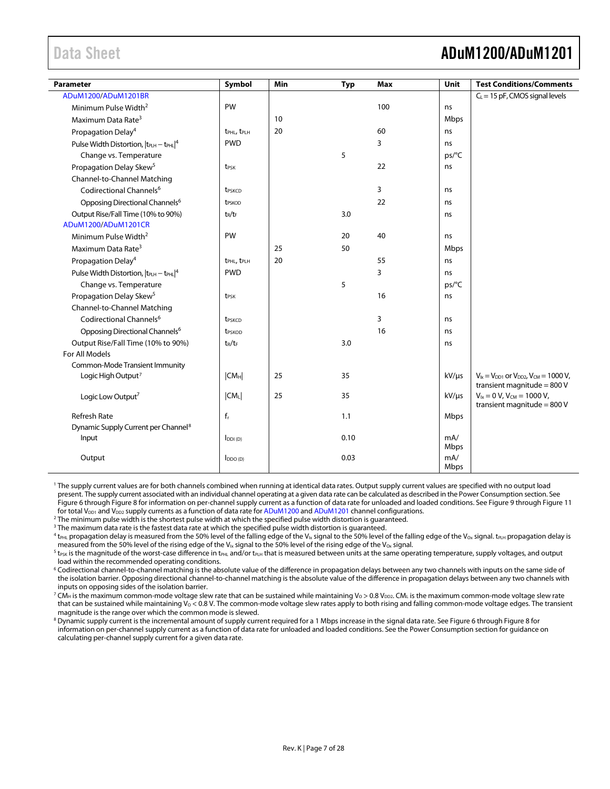# <span id="page-6-0"></span>Data Sheet **ADuM1200/ADuM1201**

| Parameter                                                     | Symbol                              | <b>Min</b> | <b>Typ</b> | Max | Unit        | <b>Test Conditions/Comments</b>                                                       |
|---------------------------------------------------------------|-------------------------------------|------------|------------|-----|-------------|---------------------------------------------------------------------------------------|
| ADuM1200/ADuM1201BR                                           |                                     |            |            |     |             | $C_L$ = 15 pF, CMOS signal levels                                                     |
| Minimum Pulse Width <sup>2</sup>                              | PW                                  |            |            | 100 | ns          |                                                                                       |
| Maximum Data Rate <sup>3</sup>                                |                                     | 10         |            |     | Mbps        |                                                                                       |
| Propagation Delay <sup>4</sup>                                | t <sub>PHL</sub> , t <sub>PLH</sub> | 20         |            | 60  | ns          |                                                                                       |
| Pulse Width Distortion, $ t_{\text{PLH}} - t_{\text{PHL}} ^4$ | <b>PWD</b>                          |            |            | 3   | ns          |                                                                                       |
| Change vs. Temperature                                        |                                     |            | 5          |     | ps/°C       |                                                                                       |
| Propagation Delay Skew <sup>5</sup>                           | t <sub>PSK</sub>                    |            |            | 22  | ns          |                                                                                       |
| Channel-to-Channel Matching                                   |                                     |            |            |     |             |                                                                                       |
| Codirectional Channels <sup>6</sup>                           | <b>t</b> <sub>PSKCD</sub>           |            |            | 3   | ns          |                                                                                       |
| Opposing Directional Channels <sup>6</sup>                    | t <sub>PSKOD</sub>                  |            |            | 22  | ns          |                                                                                       |
| Output Rise/Fall Time (10% to 90%)                            | $t_R/t_F$                           |            | 3.0        |     | ns          |                                                                                       |
| ADuM1200/ADuM1201CR                                           |                                     |            |            |     |             |                                                                                       |
| Minimum Pulse Width <sup>2</sup>                              | PW                                  |            | 20         | 40  | ns          |                                                                                       |
| Maximum Data Rate <sup>3</sup>                                |                                     | 25         | 50         |     | Mbps        |                                                                                       |
| Propagation Delay <sup>4</sup>                                | t <sub>PHL</sub> , t <sub>PLH</sub> | 20         |            | 55  | ns          |                                                                                       |
| Pulse Width Distortion, $ t_{\text{PLH}} - t_{\text{PHL}} ^4$ | <b>PWD</b>                          |            |            | 3   | ns          |                                                                                       |
| Change vs. Temperature                                        |                                     |            | 5          |     | ps/°C       |                                                                                       |
| Propagation Delay Skew <sup>5</sup>                           | t <sub>PSK</sub>                    |            |            | 16  | ns          |                                                                                       |
| Channel-to-Channel Matching                                   |                                     |            |            |     |             |                                                                                       |
| Codirectional Channels <sup>6</sup>                           | t <sub>PSKCD</sub>                  |            |            | 3   | ns          |                                                                                       |
| Opposing Directional Channels <sup>6</sup>                    | t <sub>PSKOD</sub>                  |            |            | 16  | ns          |                                                                                       |
| Output Rise/Fall Time (10% to 90%)                            | $t_R/t_F$                           |            | 3.0        |     | ns          |                                                                                       |
| For All Models                                                |                                     |            |            |     |             |                                                                                       |
| <b>Common-Mode Transient Immunity</b>                         |                                     |            |            |     |             |                                                                                       |
| Logic High Output <sup>7</sup>                                | CM <sub>H</sub>                     | 25         | 35         |     | $kV/\mu s$  | $V_{1x} = V_{DD1}$ or $V_{DD2}$ , $V_{CM} = 1000 V$ ,<br>transient magnitude = $800V$ |
| Logic Low Output <sup>7</sup>                                 | CM <sub>L</sub>                     | 25         | 35         |     | $kV/\mu s$  | $V_{1x} = 0 V$ , $V_{CM} = 1000 V$ ,                                                  |
|                                                               |                                     |            |            |     |             | transient magnitude = 800 V                                                           |
| <b>Refresh Rate</b>                                           | $f_r$                               |            | 1.1        |     | Mbps        |                                                                                       |
| Dynamic Supply Current per Channel <sup>8</sup>               |                                     |            |            |     |             |                                                                                       |
| Input                                                         | $I_{DDI(D)}$                        |            | 0.10       |     | mA/<br>Mbps |                                                                                       |
| Output                                                        | $I_{DDO(D)}$                        |            | 0.03       |     | mA/<br>Mbps |                                                                                       |

<sup>1</sup> The supply current values are for both channels combined when running at identical data rates. Output supply current values are specified with no output load present. The supply current associated with an individual channel operating at a given data rate can be calculated as described in th[e Power Consumption](#page-24-0) section. See [Figure 6](#page-22-1) throug[h Figure 8](#page-22-2) for information on per-channel supply current as a function of data rate for unloaded and loaded conditions. Se[e Figure 9](#page-22-3) throug[h Figure 11](#page-22-4) for total V<sub>DD1</sub> and V<sub>DD2</sub> supply currents as a function of data rate fo[r ADuM1200](http://www.analog.com/ADuM1200?doc=ADuM1200_1201.pdf) an[d ADuM1201](http://www.analog.com/ADuM1200?doc=ADuM1200_1201.pdf) channel configurations.

<sup>2</sup> The minimum pulse width is the shortest pulse width at which the specified pulse width distortion is guaranteed.

<sup>3</sup> The maximum data rate is the fastest data rate at which the specified pulse width distortion is guaranteed.

 $^4$  t<sub>PHL</sub> propagation delay is measured from the 50% level of the falling edge of the V<sub>Ix</sub> signal to the 50% level of the falling edge of the V<sub>Ox</sub> signal. t<sub>PLH</sub> propagation delay is measured from the 50% level of the rising edge of the V<sub>Ix</sub> signal to the 50% level of the rising edge of the V<sub>Ox</sub> signal.

 $^5$  t $_{\rm{PSK}}$  is the magnitude of the worst-case difference in t $_{\rm{PHL}}$  and/or t $_{\rm{PLH}}$  that is measured between units at the same operating temperature, supply voltages, and output load within the recommended operating conditions.

<sup>6</sup> Codirectional channel-to-channel matching is the absolute value of the difference in propagation delays between any two channels with inputs on the same side of the isolation barrier. Opposing directional channel-to-channel matching is the absolute value of the difference in propagation delays between any two channels with inputs on opposing sides of the isolation barrier.

<sup>7</sup> CM<sub>H</sub> is the maximum common-mode voltage slew rate that can be sustained while maintaining V<sub>O</sub> > 0.8 V<sub>DD2</sub>. CM<sub>L</sub> is the maximum common-mode voltage slew rate that can be sustained while maintaining  $V_0 < 0.8$  V. The common-mode voltage slew rates apply to both rising and falling common-mode voltage edges. The transient magnitude is the range over which the common mode is slewed.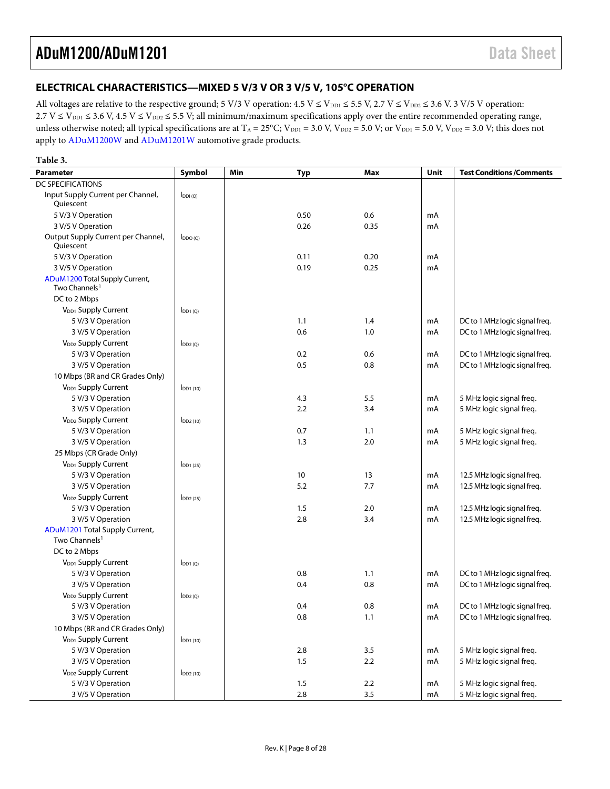## <span id="page-7-0"></span>**ELECTRICAL CHARACTERISTICS—MIXED 5 V/3 V OR 3 V/5 V, 105°C OPERATION**

All voltages are relative to the respective ground; 5 V/3 V operation:  $4.5 \text{ V} \le V_{\text{DD1}} \le 5.5 \text{ V}$ ,  $2.7 \text{ V} \le V_{\text{DD2}} \le 3.6 \text{ V}$ . 3 V/5 V operation:  $2.7 V \le V_{\text{DD1}} \le 3.6 V$ ,  $4.5 V \le V_{\text{DD2}} \le 5.5 V$ ; all minimum/maximum specifications apply over the entire recommended operating range, unless otherwise noted; all typical specifications are at  $T_A = 25^{\circ}C$ ;  $V_{\text{DD1}} = 3.0$  V,  $V_{\text{DD2}} = 5.0$  V;  $V_{\text{DD1}} = 5.0$  V,  $V_{\text{DD2}} = 3.0$  V; this does not apply t[o ADuM1200W](http://www.analog.com/ADuM1200?doc=ADuM1200_1201.pdf) an[d ADuM1201W](http://www.analog.com/ADuM1201?doc=ADuM1200_1201.pdf) automotive grade products.

#### **Table 3.**

| Parameter                                                   | Symbol        | Min | <b>Typ</b> | Max  | Unit | <b>Test Conditions /Comments</b> |
|-------------------------------------------------------------|---------------|-----|------------|------|------|----------------------------------|
| <b>DC SPECIFICATIONS</b>                                    |               |     |            |      |      |                                  |
| Input Supply Current per Channel,<br>Quiescent              | $I_{DDI(Q)}$  |     |            |      |      |                                  |
| 5 V/3 V Operation                                           |               |     | 0.50       | 0.6  | mA   |                                  |
| 3 V/5 V Operation                                           |               |     | 0.26       | 0.35 | mA   |                                  |
| Output Supply Current per Channel,<br>Quiescent             | $I_{DDO(Q)}$  |     |            |      |      |                                  |
| 5 V/3 V Operation                                           |               |     | 0.11       | 0.20 | mA   |                                  |
| 3 V/5 V Operation                                           |               |     | 0.19       | 0.25 | mA   |                                  |
| ADuM1200 Total Supply Current,<br>Two Channels <sup>1</sup> |               |     |            |      |      |                                  |
| DC to 2 Mbps                                                |               |     |            |      |      |                                  |
| V <sub>DD1</sub> Supply Current                             | $I_{DD1(Q)}$  |     |            |      |      |                                  |
| 5 V/3 V Operation                                           |               |     | 1.1        | 1.4  | mA   | DC to 1 MHz logic signal freq.   |
| 3 V/5 V Operation                                           |               |     | 0.6        | 1.0  | mA   | DC to 1 MHz logic signal freq.   |
| V <sub>DD2</sub> Supply Current                             | IDD2(Q)       |     |            |      |      |                                  |
| 5 V/3 V Operation                                           |               |     | 0.2        | 0.6  | mA   | DC to 1 MHz logic signal freq.   |
| 3 V/5 V Operation                                           |               |     | 0.5        | 0.8  | mA   | DC to 1 MHz logic signal freq.   |
| 10 Mbps (BR and CR Grades Only)                             |               |     |            |      |      |                                  |
| V <sub>DD1</sub> Supply Current                             | $IDD1$ (10)   |     |            |      |      |                                  |
| 5 V/3 V Operation                                           |               |     | 4.3        | 5.5  | mA   | 5 MHz logic signal freq.         |
| 3 V/5 V Operation                                           |               |     | 2.2        | 3.4  | mA   | 5 MHz logic signal freq.         |
| V <sub>DD2</sub> Supply Current                             | $I_{DD2(10)}$ |     |            |      |      |                                  |
| 5 V/3 V Operation                                           |               |     | 0.7        | 1.1  | mA   | 5 MHz logic signal freq.         |
| 3 V/5 V Operation                                           |               |     | 1.3        | 2.0  | mA   | 5 MHz logic signal freq.         |
| 25 Mbps (CR Grade Only)                                     |               |     |            |      |      |                                  |
| V <sub>DD1</sub> Supply Current                             | $I_{DD1(25)}$ |     |            |      |      |                                  |
| 5 V/3 V Operation                                           |               |     | 10         | 13   | mA   | 12.5 MHz logic signal freq.      |
| 3 V/5 V Operation                                           |               |     | 5.2        | 7.7  | mA   | 12.5 MHz logic signal freq.      |
| V <sub>DD2</sub> Supply Current                             | $I_{DD2(25)}$ |     |            |      |      |                                  |
| 5 V/3 V Operation                                           |               |     | 1.5        | 2.0  | mA   | 12.5 MHz logic signal freq.      |
| 3 V/5 V Operation                                           |               |     | 2.8        | 3.4  | mA   | 12.5 MHz logic signal freg.      |
| ADuM1201 Total Supply Current,<br>Two Channels <sup>1</sup> |               |     |            |      |      |                                  |
| DC to 2 Mbps                                                |               |     |            |      |      |                                  |
| V <sub>DD1</sub> Supply Current                             |               |     |            |      |      |                                  |
| 5 V/3 V Operation                                           | $I_{DD1(Q)}$  |     | 0.8        | 1.1  | mA   | DC to 1 MHz logic signal freq.   |
| 3 V/5 V Operation                                           |               |     | 0.4        | 0.8  |      |                                  |
|                                                             |               |     |            |      | mA   | DC to 1 MHz logic signal freq.   |
| V <sub>DD2</sub> Supply Current                             | $I_{DD2(Q)}$  |     | 0.4        | 0.8  | mA   |                                  |
| 5 V/3 V Operation<br>3 V/5 V Operation                      |               |     | 0.8        |      | mA   | DC to 1 MHz logic signal freq.   |
|                                                             |               |     |            | 1.1  |      | DC to 1 MHz logic signal freq.   |
| 10 Mbps (BR and CR Grades Only)                             |               |     |            |      |      |                                  |
| V <sub>DD1</sub> Supply Current                             | $I_{DD1(10)}$ |     |            |      |      |                                  |
| 5 V/3 V Operation                                           |               |     | 2.8        | 3.5  | mA   | 5 MHz logic signal freq.         |
| 3 V/5 V Operation                                           |               |     | 1.5        | 2.2  | mA   | 5 MHz logic signal freq.         |
| V <sub>DD2</sub> Supply Current                             | $I_{DD2(10)}$ |     |            |      |      |                                  |
| 5 V/3 V Operation                                           |               |     | 1.5        | 2.2  | mA   | 5 MHz logic signal freq.         |
| 3 V/5 V Operation                                           |               |     | 2.8        | 3.5  | mA   | 5 MHz logic signal freq.         |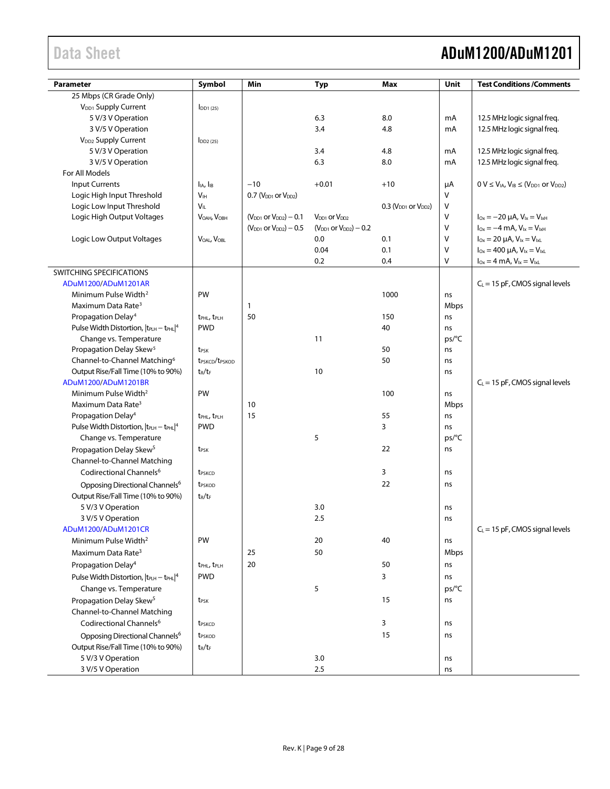# Data Sheet **ADuM1200/ADuM1201**

| <b>Parameter</b>                                              | Symbol                                            | Min                             | <b>Typ</b>                      | Max                        | Unit              | <b>Test Conditions /Comments</b>                         |
|---------------------------------------------------------------|---------------------------------------------------|---------------------------------|---------------------------------|----------------------------|-------------------|----------------------------------------------------------|
| 25 Mbps (CR Grade Only)                                       |                                                   |                                 |                                 |                            |                   |                                                          |
| V <sub>DD1</sub> Supply Current                               | $I$ <sub>DD1</sub> $(25)$                         |                                 |                                 |                            |                   |                                                          |
| 5 V/3 V Operation                                             |                                                   |                                 | 6.3                             | 8.0                        | mA                | 12.5 MHz logic signal freq.                              |
| 3 V/5 V Operation                                             |                                                   |                                 | 3.4                             | 4.8                        | mA                | 12.5 MHz logic signal freq.                              |
| V <sub>DD2</sub> Supply Current                               | $I_{DD2(25)}$                                     |                                 |                                 |                            |                   |                                                          |
| 5 V/3 V Operation                                             |                                                   |                                 | 3.4                             | 4.8                        | mA                | 12.5 MHz logic signal freq.                              |
| 3 V/5 V Operation                                             |                                                   |                                 | 6.3                             | 8.0                        | mA                | 12.5 MHz logic signal freq.                              |
| For All Models                                                |                                                   |                                 |                                 |                            |                   |                                                          |
| <b>Input Currents</b>                                         | I <sub>IA</sub> , I <sub>IB</sub>                 | $-10$                           | $+0.01$                         | $+10$                      | μA                | $0 V \leq V_{IA}$ , $V_{IB} \leq (V_{DD1}$ or $V_{DD2})$ |
| Logic High Input Threshold                                    | V <sub>IH</sub>                                   | $0.7$ ( $VDD1$ or $VDD2$ )      |                                 |                            | V                 |                                                          |
| Logic Low Input Threshold                                     | V <sub>IL</sub>                                   |                                 |                                 | $0.3$ ( $VDD1$ or $VDD2$ ) | V                 |                                                          |
| Logic High Output Voltages                                    | VOAH, VOBH                                        | $(V_{DD1}$ or $V_{DD2}$ ) – 0.1 | $V_{DD1}$ or $V_{DD2}$          |                            | V                 | $I_{Ox} = -20 \mu A$ , $V_{1x} = V_{1xH}$                |
|                                                               |                                                   | $(V_{DD1}$ or $V_{DD2}) - 0.5$  | $(V_{DD1}$ or $V_{DD2}$ ) – 0.2 |                            | V                 | $I_{Ox} = -4$ mA, $V_{1x} = V_{1xH}$                     |
| Logic Low Output Voltages                                     | VOAL, VOBL                                        |                                 | 0.0                             | 0.1                        | $\vee$            | $I_{Ox} = 20 \mu A$ , $V_{1x} = V_{1xL}$                 |
|                                                               |                                                   |                                 | 0.04                            | 0.1                        | V                 | $I_{Ox} = 400 \mu A$ , $V_{Ix} = V_{IxL}$                |
|                                                               |                                                   |                                 | 0.2                             | 0.4                        | V                 | $I_{Ox} = 4 \text{ mA}, V_{1x} = V_{1xL}$                |
| SWITCHING SPECIFICATIONS                                      |                                                   |                                 |                                 |                            |                   |                                                          |
| ADuM1200/ADuM1201AR<br>Minimum Pulse Width <sup>2</sup>       | PW                                                |                                 |                                 | 1000                       |                   | $C_L$ = 15 pF, CMOS signal levels                        |
| Maximum Data Rate <sup>3</sup>                                |                                                   |                                 |                                 |                            | ns                |                                                          |
| Propagation Delay <sup>4</sup>                                |                                                   | $\mathbf{1}$<br>50              |                                 | 150                        | <b>Mbps</b><br>ns |                                                          |
| Pulse Width Distortion, $ t_{PLH} - t_{PHL} ^4$               | t <sub>PHL</sub> , t <sub>PLH</sub><br><b>PWD</b> |                                 |                                 | 40                         | ns                |                                                          |
| Change vs. Temperature                                        |                                                   |                                 | 11                              |                            | ps/C              |                                                          |
| Propagation Delay Skew <sup>5</sup>                           | t <sub>PSK</sub>                                  |                                 |                                 | 50                         | ns                |                                                          |
| Channel-to-Channel Matching <sup>6</sup>                      | t <sub>PSKCD</sub> /t <sub>PSKOD</sub>            |                                 |                                 | 50                         | ns                |                                                          |
| Output Rise/Fall Time (10% to 90%)                            | $t_R/t_F$                                         |                                 | 10                              |                            | ns                |                                                          |
| ADuM1200/ADuM1201BR                                           |                                                   |                                 |                                 |                            |                   | $C_L$ = 15 pF, CMOS signal levels                        |
| Minimum Pulse Width <sup>2</sup>                              | PW                                                |                                 |                                 | 100                        | ns                |                                                          |
| Maximum Data Rate <sup>3</sup>                                |                                                   | 10                              |                                 |                            | Mbps              |                                                          |
| Propagation Delay <sup>4</sup>                                | t <sub>PHL</sub> , t <sub>PLH</sub>               | 15                              |                                 | 55                         | ns                |                                                          |
| Pulse Width Distortion, $ t_{\text{PLH}} - t_{\text{PHL}} ^4$ | <b>PWD</b>                                        |                                 |                                 | 3                          | ns                |                                                          |
| Change vs. Temperature                                        |                                                   |                                 | 5                               |                            | ps/°C             |                                                          |
| Propagation Delay Skew <sup>5</sup>                           | t <sub>PSK</sub>                                  |                                 |                                 | 22                         | ns                |                                                          |
| Channel-to-Channel Matching                                   |                                                   |                                 |                                 |                            |                   |                                                          |
| Codirectional Channels <sup>6</sup>                           | t <sub>PSKCD</sub>                                |                                 |                                 | 3                          | ns                |                                                          |
| Opposing Directional Channels <sup>6</sup>                    | t <sub>PSKOD</sub>                                |                                 |                                 | 22                         | ns                |                                                          |
| Output Rise/Fall Time (10% to 90%)                            | $t_R/t_F$                                         |                                 |                                 |                            |                   |                                                          |
| 5 V/3 V Operation                                             |                                                   |                                 | 3.0                             |                            | ns                |                                                          |
| 3 V/5 V Operation                                             |                                                   |                                 | $2.5\,$                         |                            | ns                |                                                          |
| ADuM1200/ADuM1201CR                                           |                                                   |                                 |                                 |                            |                   | $C_L = 15$ pF, CMOS signal levels                        |
| Minimum Pulse Width <sup>2</sup>                              | PW                                                |                                 | 20                              | 40                         | ns                |                                                          |
| Maximum Data Rate <sup>3</sup>                                |                                                   | 25                              | 50                              |                            | Mbps              |                                                          |
| Propagation Delay <sup>4</sup>                                | t <sub>PHL</sub> , t <sub>PLH</sub>               | 20                              |                                 | 50                         | ns                |                                                          |
| Pulse Width Distortion, $ t_{PLH} - t_{PHL} ^4$               | <b>PWD</b>                                        |                                 |                                 | 3                          | ns                |                                                          |
| Change vs. Temperature                                        |                                                   |                                 | 5                               |                            | ps/°C             |                                                          |
| Propagation Delay Skew <sup>5</sup>                           | t <sub>PSK</sub>                                  |                                 |                                 | 15                         | ns                |                                                          |
| Channel-to-Channel Matching                                   |                                                   |                                 |                                 |                            |                   |                                                          |
| Codirectional Channels <sup>6</sup>                           | t <sub>PSKCD</sub>                                |                                 |                                 | 3                          | ns                |                                                          |
| Opposing Directional Channels <sup>6</sup>                    |                                                   |                                 |                                 | 15                         |                   |                                                          |
|                                                               | t <sub>PSKOD</sub>                                |                                 |                                 |                            | ns                |                                                          |
| Output Rise/Fall Time (10% to 90%)<br>5 V/3 V Operation       | $t_R/t_F$                                         |                                 | 3.0                             |                            |                   |                                                          |
|                                                               |                                                   |                                 | 2.5                             |                            | ns                |                                                          |
| 3 V/5 V Operation                                             |                                                   |                                 |                                 |                            | ns                |                                                          |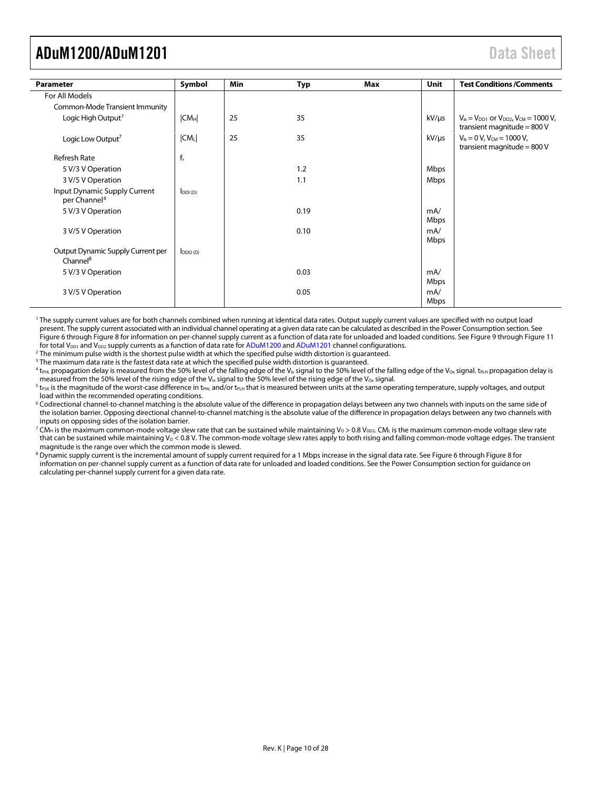<span id="page-9-1"></span>

| <b>Parameter</b>                                          | Symbol          | Min | Typ  | Max | Unit        | <b>Test Conditions /Comments</b>                                                     |
|-----------------------------------------------------------|-----------------|-----|------|-----|-------------|--------------------------------------------------------------------------------------|
| For All Models                                            |                 |     |      |     |             |                                                                                      |
| <b>Common-Mode Transient Immunity</b>                     |                 |     |      |     |             |                                                                                      |
| Logic High Output <sup>7</sup>                            | CM <sub>H</sub> | 25  | 35   |     | kV/µs       | $V_{1x} = V_{DD1}$ or $V_{DD2}$ , $V_{CM} = 1000$ V,<br>transient magnitude = $800V$ |
| Logic Low Output <sup>7</sup>                             | $ CM_L $        | 25  | 35   |     | $kV/\mu s$  | $V_{1x} = 0 V$ , $V_{CM} = 1000 V$ ,<br>transient magnitude = $800V$                 |
| <b>Refresh Rate</b>                                       | $f_r$           |     |      |     |             |                                                                                      |
| 5 V/3 V Operation                                         |                 |     | 1.2  |     | Mbps        |                                                                                      |
| 3 V/5 V Operation                                         |                 |     | 1.1  |     | Mbps        |                                                                                      |
| Input Dynamic Supply Current<br>per Channel <sup>8</sup>  | $I_{DDI(D)}$    |     |      |     |             |                                                                                      |
| 5 V/3 V Operation                                         |                 |     | 0.19 |     | mA/<br>Mbps |                                                                                      |
| 3 V/5 V Operation                                         |                 |     | 0.10 |     | mA/<br>Mbps |                                                                                      |
| Output Dynamic Supply Current per<br>Channel <sup>8</sup> | $I_{DDO(D)}$    |     |      |     |             |                                                                                      |
| 5 V/3 V Operation                                         |                 |     | 0.03 |     | mA/<br>Mbps |                                                                                      |
| 3 V/5 V Operation                                         |                 |     | 0.05 |     | mA/<br>Mbps |                                                                                      |

<sup>1</sup> The supply current values are for both channels combined when running at identical data rates. Output supply current values are specified with no output load present. The supply current associated with an individual channel operating at a given data rate can be calculated as described in th[e Power Consumption](#page-24-0) section. See [Figure 6](#page-22-1) throug[h Figure 8](#page-22-2) for information on per-channel supply current as a function of data rate for unloaded and loaded conditions. Se[e Figure 9](#page-22-3) throug[h Figure 11](#page-22-4) for total V<sub>DD1</sub> and V<sub>DD2</sub> supply currents as a function of data rate fo[r ADuM1200](http://www.analog.com/ADuM1200?doc=ADuM1200_1201.pdf) an[d ADuM1201](http://www.analog.com/ADuM1201?doc=ADuM1200_1201.pdf) channel configurations.

<sup>2</sup> The minimum pulse width is the shortest pulse width at which the specified pulse width distortion is guaranteed.

<sup>3</sup> The maximum data rate is the fastest data rate at which the specified pulse width distortion is guaranteed.

 $^4$  t<sub>PHL</sub> propagation delay is measured from the 50% level of the falling edge of the V<sub>Ix</sub> signal to the 50% level of the falling edge of the V<sub>Ox</sub> signal. t<sub>PLH</sub> propagation delay is measured from the 50% level of the rising edge of the V<sub>Ix</sub> signal to the 50% level of the rising edge of the V<sub>Ox</sub> signal.

 $^5$  t $_{\rm{PSK}}$  is the magnitude of the worst-case difference in t $_{\rm{PHL}}$  and/or t $_{\rm{PLH}}$  that is measured between units at the same operating temperature, supply voltages, and output load within the recommended operating conditions.

<sup>6</sup> Codirectional channel-to-channel matching is the absolute value of the difference in propagation delays between any two channels with inputs on the same side of the isolation barrier. Opposing directional channel-to-channel matching is the absolute value of the difference in propagation delays between any two channels with inputs on opposing sides of the isolation barrier.

<span id="page-9-0"></span> $^7$  CM<sub>H</sub> is the maximum common-mode voltage slew rate that can be sustained while maintaining V<sub>0</sub> > 0.8 V<sub>DD2</sub>. CM<sub>L</sub> is the maximum common-mode voltage slew rate that can be sustained while maintaining V<sub>o</sub> < 0.8 V. The common-mode voltage slew rates apply to both rising and falling common-mode voltage edges. The transient magnitude is the range over which the common mode is slewed.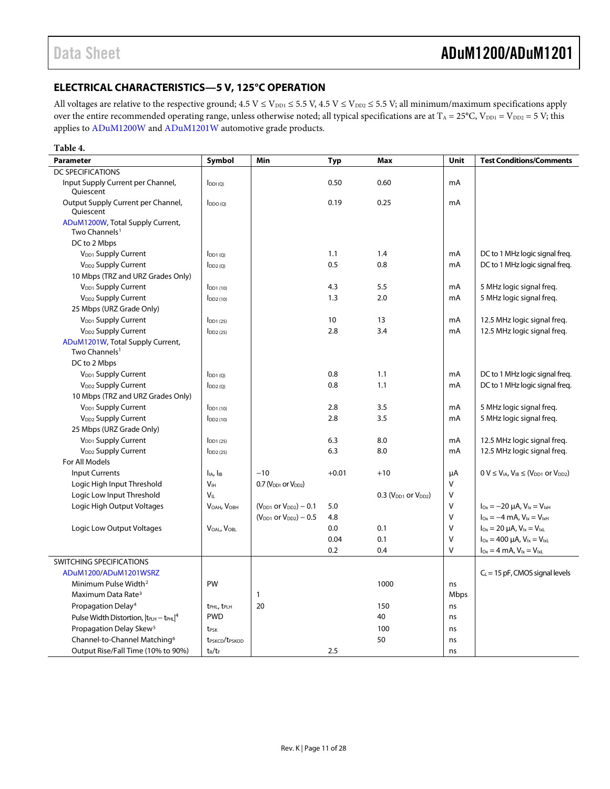## <span id="page-10-0"></span>**ELECTRICAL CHARACTERISTICS—5 V, 125°C OPERATION**

All voltages are relative to the respective ground;  $4.5 V \le V_{DD1} \le 5.5 V$ ,  $4.5 V \le V_{DD2} \le 5.5 V$ ; all minimum/maximum specifications apply over the entire recommended operating range, unless otherwise noted; all typical specifications are at  $T_A = 25^{\circ}C$ ,  $V_{DD1} = V_{DD2} = 5 V$ ; this applies t[o ADuM1200W](http://www.analog.com/ADuM1200?doc=ADuM1200_1201.pdf) an[d ADuM1201W](http://www.analog.com/ADuM1201?doc=ADuM1200_1201.pdf) automotive grade products.

<span id="page-10-1"></span>

| Table 4.                                                      |                                        |                                |            |                                               |      |                                                        |
|---------------------------------------------------------------|----------------------------------------|--------------------------------|------------|-----------------------------------------------|------|--------------------------------------------------------|
| <b>Parameter</b>                                              | Symbol                                 | Min                            | <b>Typ</b> | <b>Max</b>                                    | Unit | <b>Test Conditions/Comments</b>                        |
| <b>DC SPECIFICATIONS</b>                                      |                                        |                                |            |                                               |      |                                                        |
| Input Supply Current per Channel,<br>Quiescent                | $I_{DDI(Q)}$                           |                                | 0.50       | 0.60                                          | mA   |                                                        |
| Output Supply Current per Channel,<br>Quiescent               | $I_{DDO(O)}$                           |                                | 0.19       | 0.25                                          | mA   |                                                        |
| ADuM1200W, Total Supply Current,<br>Two Channels <sup>1</sup> |                                        |                                |            |                                               |      |                                                        |
| DC to 2 Mbps                                                  |                                        |                                |            |                                               |      |                                                        |
| V <sub>DD1</sub> Supply Current                               | $I_{DD1(Q)}$                           |                                | 1.1        | 1.4                                           | mA   | DC to 1 MHz logic signal freq.                         |
| V <sub>DD2</sub> Supply Current                               | $I_{DD2(Q)}$                           |                                | 0.5        | 0.8                                           | mA   | DC to 1 MHz logic signal freg.                         |
| 10 Mbps (TRZ and URZ Grades Only)                             |                                        |                                |            |                                               |      |                                                        |
| V <sub>DD1</sub> Supply Current                               | $I_{DD1(10)}$                          |                                | 4.3        | 5.5                                           | mA   | 5 MHz logic signal freg.                               |
| V <sub>DD2</sub> Supply Current                               | $I_{DD2(10)}$                          |                                | 1.3        | 2.0                                           | mA   | 5 MHz logic signal freg.                               |
| 25 Mbps (URZ Grade Only)                                      |                                        |                                |            |                                               |      |                                                        |
| V <sub>DD1</sub> Supply Current                               | $I_{DD1(25)}$                          |                                | 10         | 13                                            | mA   | 12.5 MHz logic signal freq.                            |
| V <sub>DD2</sub> Supply Current                               | $I_{DD2(25)}$                          |                                | 2.8        | 3.4                                           | mA   | 12.5 MHz logic signal freq.                            |
| ADuM1201W, Total Supply Current,<br>Two Channels <sup>1</sup> |                                        |                                |            |                                               |      |                                                        |
| DC to 2 Mbps                                                  |                                        |                                |            |                                               |      |                                                        |
| V <sub>DD1</sub> Supply Current                               | $I_{DD1(Q)}$                           |                                | 0.8        | 1.1                                           | mA   | DC to 1 MHz logic signal freq.                         |
| V <sub>DD2</sub> Supply Current                               | $I_{DD2(Q)}$                           |                                | 0.8        | 1.1                                           | mA   | DC to 1 MHz logic signal freq.                         |
| 10 Mbps (TRZ and URZ Grades Only)                             |                                        |                                |            |                                               |      |                                                        |
| V <sub>DD1</sub> Supply Current                               | $I_{DD1(10)}$                          |                                | 2.8        | 3.5                                           | mA   | 5 MHz logic signal freg.                               |
| V <sub>DD2</sub> Supply Current                               | $I_{DD2(10)}$                          |                                | 2.8        | 3.5                                           | mA   | 5 MHz logic signal freg.                               |
| 25 Mbps (URZ Grade Only)                                      |                                        |                                |            |                                               |      |                                                        |
| V <sub>DD1</sub> Supply Current                               | $I$ DD <sub>1</sub> $(25)$             |                                | 6.3        | 8.0                                           | mA   | 12.5 MHz logic signal freq.                            |
| V <sub>DD2</sub> Supply Current                               | $I_{DD2(25)}$                          |                                | 6.3        | 8.0                                           | mA   | 12.5 MHz logic signal freq.                            |
| For All Models                                                |                                        |                                |            |                                               |      |                                                        |
| <b>Input Currents</b>                                         | $I_{IA}$ , $I_{IB}$                    | $-10$                          | $+0.01$    | $+10$                                         | μA   | $0 V \le V_{IA}$ , $V_{IB} \le (V_{DD1}$ or $V_{DD2})$ |
| Logic High Input Threshold                                    | V <sub>IH</sub>                        | $0.7$ ( $VDD1$ or $VDD2$ )     |            |                                               | V    |                                                        |
| Logic Low Input Threshold                                     | $V_{\parallel}$                        |                                |            | $0.3$ (V <sub>DD1</sub> or V <sub>DD2</sub> ) | V    |                                                        |
| Logic High Output Voltages                                    | VOAH, VOBH                             | $(V_{DD1}$ or $V_{DD2}) - 0.1$ | 5.0        |                                               | V    | $I_{Ox} = -20 \mu A$ , $V_{1x} = V_{1xH}$              |
|                                                               |                                        | $(V_{DD1}$ or $V_{DD2}) - 0.5$ | 4.8        |                                               | V    | $I_{Ox} = -4$ mA, $V_{1x} = V_{1xH}$                   |
| Logic Low Output Voltages                                     | VOAL, VOBL                             |                                | 0.0        | 0.1                                           | V    | $I_{Ox} = 20 \mu A$ , $V_{1x} = V_{1xL}$               |
|                                                               |                                        |                                | 0.04       | 0.1                                           | V    | $I_{Ox} = 400 \mu A$ , $V_{ix} = V_{ixL}$              |
|                                                               |                                        |                                | 0.2        | 0.4                                           | v    | $I_{0x} = 4$ mA, $V_{1x} = V_{1x}$                     |
| SWITCHING SPECIFICATIONS                                      |                                        |                                |            |                                               |      |                                                        |
| ADuM1200/ADuM1201WSRZ                                         |                                        |                                |            |                                               |      | $C_L$ = 15 pF, CMOS signal levels                      |
| Minimum Pulse Width <sup>2</sup>                              | PW                                     |                                |            | 1000                                          | ns   |                                                        |
| Maximum Data Rate <sup>3</sup>                                |                                        | $\mathbf{1}$                   |            |                                               | Mbps |                                                        |
| Propagation Delay <sup>4</sup>                                | t <sub>PHL</sub> , t <sub>PLH</sub>    | 20                             |            | 150                                           | ns   |                                                        |
| Pulse Width Distortion, $ t_{\text{PLH}} - t_{\text{PHL}} ^4$ | <b>PWD</b>                             |                                |            | 40                                            | ns   |                                                        |
| Propagation Delay Skew <sup>5</sup>                           | <b>t</b> <sub>PSK</sub>                |                                |            | 100                                           | ns   |                                                        |
| Channel-to-Channel Matching <sup>6</sup>                      | t <sub>PSKCD</sub> /t <sub>PSKOD</sub> |                                |            | 50                                            | ns   |                                                        |
| Output Rise/Fall Time (10% to 90%)                            | $t_R/t_F$                              |                                | 2.5        |                                               | ns   |                                                        |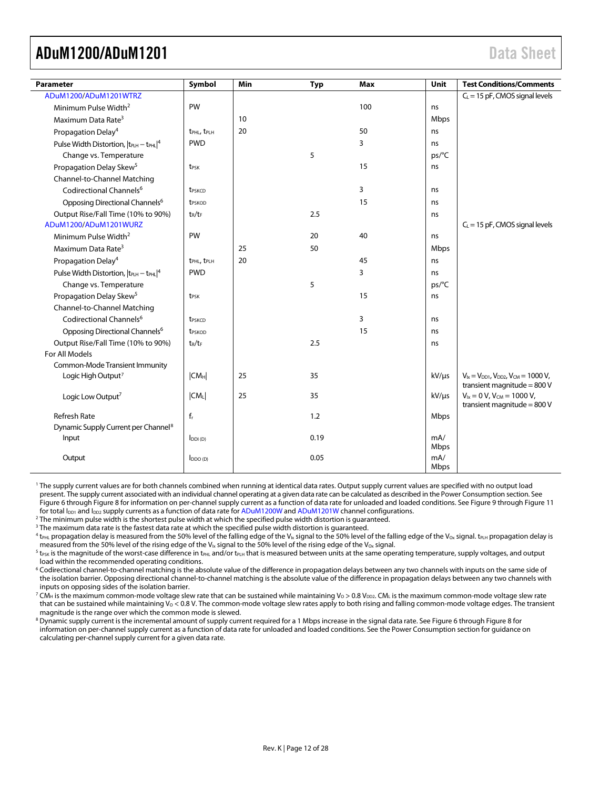<span id="page-11-0"></span>

| <b>Parameter</b>                                | Symbol                              | Min | <b>Typ</b> | Max | Unit        | <b>Test Conditions/Comments</b>                                                      |
|-------------------------------------------------|-------------------------------------|-----|------------|-----|-------------|--------------------------------------------------------------------------------------|
| ADuM1200/ADuM1201WTRZ                           |                                     |     |            |     |             | $C_L$ = 15 pF, CMOS signal levels                                                    |
| Minimum Pulse Width <sup>2</sup>                | PW                                  |     |            | 100 | ns          |                                                                                      |
| Maximum Data Rate <sup>3</sup>                  |                                     | 10  |            |     | Mbps        |                                                                                      |
| Propagation Delay <sup>4</sup>                  | t <sub>PHL</sub> , t <sub>PLH</sub> | 20  |            | 50  | ns          |                                                                                      |
| Pulse Width Distortion, $ t_{PLH} - t_{PHL} ^4$ | <b>PWD</b>                          |     |            | 3   | ns          |                                                                                      |
| Change vs. Temperature                          |                                     |     | 5          |     | ps/°C       |                                                                                      |
| Propagation Delay Skew <sup>5</sup>             | t <sub>PSK</sub>                    |     |            | 15  | ns          |                                                                                      |
| Channel-to-Channel Matching                     |                                     |     |            |     |             |                                                                                      |
| Codirectional Channels <sup>6</sup>             | t <sub>PSKCD</sub>                  |     |            | 3   | ns          |                                                                                      |
| Opposing Directional Channels <sup>6</sup>      | t <sub>PSKOD</sub>                  |     |            | 15  | ns          |                                                                                      |
| Output Rise/Fall Time (10% to 90%)              | $t_R/t_F$                           |     | 2.5        |     | ns          |                                                                                      |
| ADuM1200/ADuM1201WURZ                           |                                     |     |            |     |             | $C_L$ = 15 pF, CMOS signal levels                                                    |
| Minimum Pulse Width <sup>2</sup>                | PW                                  |     | 20         | 40  | ns          |                                                                                      |
| Maximum Data Rate <sup>3</sup>                  |                                     | 25  | 50         |     | Mbps        |                                                                                      |
| Propagation Delay <sup>4</sup>                  | t <sub>PHL</sub> , t <sub>PLH</sub> | 20  |            | 45  | ns          |                                                                                      |
| Pulse Width Distortion, $ t_{PLH} - t_{PHL} ^4$ | <b>PWD</b>                          |     |            | 3   | ns          |                                                                                      |
| Change vs. Temperature                          |                                     |     | 5          |     | ps/°C       |                                                                                      |
| Propagation Delay Skew <sup>5</sup>             | t <sub>PSK</sub>                    |     |            | 15  | ns          |                                                                                      |
| Channel-to-Channel Matching                     |                                     |     |            |     |             |                                                                                      |
| Codirectional Channels <sup>6</sup>             | t <sub>PSKCD</sub>                  |     |            | 3   | ns          |                                                                                      |
| Opposing Directional Channels <sup>6</sup>      | t <sub>PSKOD</sub>                  |     |            | 15  | ns          |                                                                                      |
| Output Rise/Fall Time (10% to 90%)              | $t_R/t_F$                           |     | 2.5        |     | ns          |                                                                                      |
| For All Models                                  |                                     |     |            |     |             |                                                                                      |
| Common-Mode Transient Immunity                  |                                     |     |            |     |             |                                                                                      |
| Logic High Output <sup>7</sup>                  | CM <sub>H</sub>                     | 25  | 35         |     | $kV/\mu s$  | $V_{1x} = V_{DD1}$ , $V_{DD2}$ , $V_{CM} = 1000 V$ ,<br>transient magnitude = $800V$ |
| Logic Low Output <sup>7</sup>                   | CM <sub>L</sub>                     | 25  | 35         |     | $kV/\mu s$  | $V_{ix} = 0 V$ , $V_{CM} = 1000 V$ ,<br>transient magnitude = $800V$                 |
| <b>Refresh Rate</b>                             | $f_r$                               |     | 1.2        |     | Mbps        |                                                                                      |
| Dynamic Supply Current per Channel <sup>8</sup> |                                     |     |            |     |             |                                                                                      |
| Input                                           | $I_{DDI(D)}$                        |     | 0.19       |     | mA/<br>Mbps |                                                                                      |
| Output                                          | $I_{DDO(D)}$                        |     | 0.05       |     | mA/<br>Mbps |                                                                                      |

<sup>1</sup> The supply current values are for both channels combined when running at identical data rates. Output supply current values are specified with no output load present. The supply current associated with an individual channel operating at a given data rate can be calculated as described in th[e Power Consumption](#page-24-0) section. See [Figure 6](#page-22-1) throug[h Figure 8](#page-22-2) for information on per-channel supply current as a function of data rate for unloaded and loaded conditions. Se[e Figure 9](#page-22-3) throug[h Figure 11](#page-22-4) for total l<sub>pp1</sub> and l<sub>pp2</sub> supply currents as a functio

<sup>2</sup> The minimum pulse width is the shortest pulse width at whi[c](http://www.analog.com/ADuM1200?doc=ADuM1200_1201.pdf)h the specified pulse width distortion is guaranteed.

<sup>3</sup> The maximum data rate is the fastest data rate at which the specified pulse width distortion is guaranteed.

 $^4$  t<sub>PHL</sub> propagation delay is measured from the 50% level of the falling edge of the V<sub>Ix</sub> signal to the 50% level of the falling edge of the V<sub>Ox</sub> signal. t<sub>PLH</sub> propagation delay is measured from the 50% level of the rising edge of the V<sub>Ix</sub> signal to the 50% level of the rising edge of the V<sub>Ox</sub> signal.

 $^5$  t $_{\rm{PSK}}$  is the magnitude of the worst-case difference in t $_{\rm{PHL}}$  and/or t $_{\rm{PLH}}$  that is measured between units at the same operating temperature, supply voltages, and output load within the recommended operating conditions.

<sup>6</sup> Codirectional channel-to-channel matching is the absolute value of the difference in propagation delays between any two channels with inputs on the same side of the isolation barrier. Opposing directional channel-to-channel matching is the absolute value of the difference in propagation delays between any two channels with inputs on opposing sides of the isolation barrier.

 $^7$  CM<sub>H</sub> is the maximum common-mode voltage slew rate that can be sustained while maintaining Vo > 0.8 V<sub>DD2</sub>. CM<sub>L</sub> is the maximum common-mode voltage slew rate that can be sustained while maintaining  $V_0 < 0.8$  V. The common-mode voltage slew rates apply to both rising and falling common-mode voltage edges. The transient magnitude is the range over which the common mode is slewed.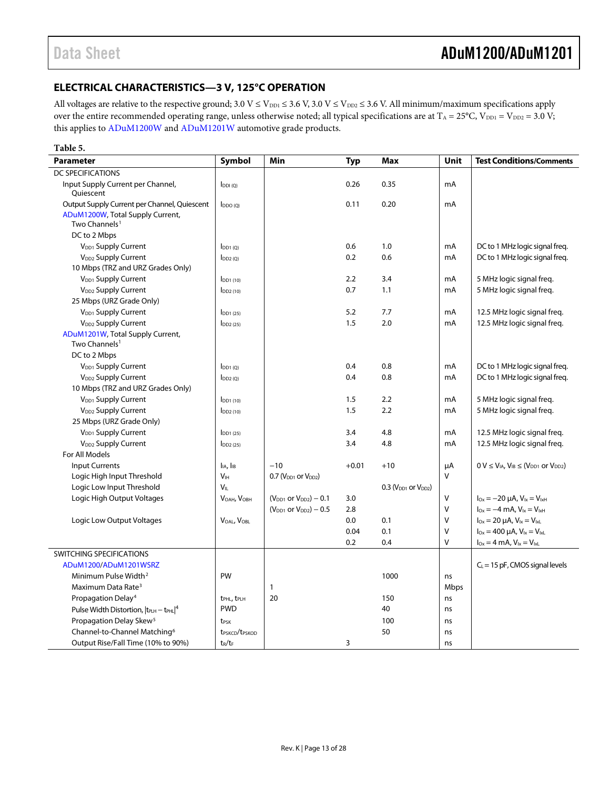## <span id="page-12-0"></span>**ELECTRICAL CHARACTERISTICS—3 V, 125°C OPERATION**

All voltages are relative to the respective ground;  $3.0 V \le V_{\text{DD1}} \le 3.6 V$ ,  $3.0 V \le V_{\text{DD2}} \le 3.6 V$ . All minimum/maximum specifications apply over the entire recommended operating range, unless otherwise noted; all typical specifications are at  $T_A = 25^{\circ}C$ ,  $V_{DD1} = V_{DD2} = 3.0 V$ ; this applies t[o ADuM1200W](http://www.analog.com/ADuM1200?doc=ADuM1200_1201.pdf) an[d ADuM1201W](http://www.analog.com/ADuM1201?doc=ADuM1200_1201.pdf) automotive grade products.

#### **Table 5.**

| <b>Parameter</b>                                              | Symbol                                 | Min                            | <b>Typ</b> | <b>Max</b>                 | <b>Unit</b> | <b>Test Conditions/Comments</b>                                    |
|---------------------------------------------------------------|----------------------------------------|--------------------------------|------------|----------------------------|-------------|--------------------------------------------------------------------|
| <b>DC SPECIFICATIONS</b>                                      |                                        |                                |            |                            |             |                                                                    |
| Input Supply Current per Channel,<br>Oujescent                | $I_{DDI(Q)}$                           |                                | 0.26       | 0.35                       | mA          |                                                                    |
| Output Supply Current per Channel, Quiescent                  | $I_{DDO(O)}$                           |                                | 0.11       | 0.20                       | mA          |                                                                    |
| ADuM1200W, Total Supply Current,<br>Two Channels <sup>1</sup> |                                        |                                |            |                            |             |                                                                    |
| DC to 2 Mbps                                                  |                                        |                                |            |                            |             |                                                                    |
| V <sub>DD1</sub> Supply Current                               | $I_{DD1(0)}$                           |                                | 0.6        | 1.0                        | mA          | DC to 1 MHz logic signal freq.                                     |
| V <sub>DD2</sub> Supply Current                               | $I_{DD2(0)}$                           |                                | 0.2        | 0.6                        | mA          | DC to 1 MHz logic signal freq.                                     |
| 10 Mbps (TRZ and URZ Grades Only)                             |                                        |                                |            |                            |             |                                                                    |
| V <sub>DD1</sub> Supply Current                               | $I$ <sub>DD1</sub> $(10)$              |                                | 2.2        | 3.4                        | mA          | 5 MHz logic signal freq.                                           |
| V <sub>DD2</sub> Supply Current                               | $I_{DD2(10)}$                          |                                | 0.7        | 1.1                        | mA          | 5 MHz logic signal freg.                                           |
| 25 Mbps (URZ Grade Only)                                      |                                        |                                |            |                            |             |                                                                    |
| V <sub>DD1</sub> Supply Current                               | $I_{DD1(25)}$                          |                                | 5.2        | 7.7                        | mA          | 12.5 MHz logic signal freq.                                        |
| V <sub>DD2</sub> Supply Current                               | $I_{DD2(25)}$                          |                                | 1.5        | 2.0                        | mA          | 12.5 MHz logic signal freq.                                        |
| ADuM1201W, Total Supply Current,<br>Two Channels <sup>1</sup> |                                        |                                |            |                            |             |                                                                    |
| DC to 2 Mbps                                                  |                                        |                                |            |                            |             |                                                                    |
| V <sub>DD1</sub> Supply Current                               | $I_{DD1(0)}$                           |                                | 0.4        | 0.8                        | mA          | DC to 1 MHz logic signal freq.                                     |
| V <sub>DD2</sub> Supply Current                               | $I_{DD2(Q)}$                           |                                | 0.4        | 0.8                        | mA          | DC to 1 MHz logic signal freq.                                     |
| 10 Mbps (TRZ and URZ Grades Only)                             |                                        |                                |            |                            |             |                                                                    |
| V <sub>DD1</sub> Supply Current                               | I <sub>DD1(10)</sub>                   |                                | 1.5        | 2.2                        | mA          | 5 MHz logic signal freg.                                           |
| V <sub>DD2</sub> Supply Current                               | $I_{DD2(10)}$                          |                                | 1.5        | 2.2                        | mA          | 5 MHz logic signal freg.                                           |
| 25 Mbps (URZ Grade Only)                                      |                                        |                                |            |                            |             |                                                                    |
| V <sub>DD1</sub> Supply Current                               | $I_{DD1(25)}$                          |                                | 3.4        | 4.8                        | mA          | 12.5 MHz logic signal freq.                                        |
| V <sub>DD2</sub> Supply Current                               | $I_{DD2(25)}$                          |                                | 3.4        | 4.8                        | mA          | 12.5 MHz logic signal freq.                                        |
| For All Models                                                |                                        |                                |            |                            |             |                                                                    |
| <b>Input Currents</b>                                         | $I_{IA}$ , $I_{IB}$                    | $-10$                          | $+0.01$    | $+10$                      | μA          | $0 V \leq V_{IA}$ , $V_{IB} \leq (V_{DD1}$ or $V_{DD2})$           |
| Logic High Input Threshold                                    | V <sub>IH</sub>                        | $0.7$ ( $VDD1$ or $VDD2$ )     |            |                            | V           |                                                                    |
| Logic Low Input Threshold                                     | V <sub>II</sub>                        |                                |            | $0.3$ ( $VDD1$ or $VDD2$ ) |             |                                                                    |
| Logic High Output Voltages                                    | V <sub>OAH</sub> , V <sub>OBH</sub>    | $(V_{DD1}$ or $V_{DD2})$ – 0.1 | 3.0        |                            | V           | $I_{Ox} = -20 \mu A$ , $V_{ix} = V_{ixH}$                          |
|                                                               |                                        | $(VDD1$ or $VDD2) - 0.5$       | 2.8        |                            | $\vee$      | $I_{\text{Ox}} = -4 \text{ mA}$ , $V_{\text{lx}} = V_{\text{lxH}}$ |
| Logic Low Output Voltages                                     | $V_{OAI}$ , $V_{OBI}$                  |                                | 0.0        | 0.1                        | $\vee$      | $I_{Ox} = 20 \mu A$ , $V_{1x} = V_{1x1}$                           |
|                                                               |                                        |                                | 0.04       | 0.1                        | $\vee$      | $I_{0x} = 400 \mu A$ , $V_{1x} = V_{1xL}$                          |
|                                                               |                                        |                                | 0.2        | 0.4                        | $\vee$      | $I_{Ox} = 4$ mA, $V_{lx} = V_{lxL}$                                |
| SWITCHING SPECIFICATIONS                                      |                                        |                                |            |                            |             |                                                                    |
| ADuM1200/ADuM1201WSRZ                                         |                                        |                                |            |                            |             | $C_L$ = 15 pF, CMOS signal levels                                  |
| Minimum Pulse Width <sup>2</sup>                              | PW                                     |                                |            | 1000                       | ns          |                                                                    |
| Maximum Data Rate <sup>3</sup>                                |                                        | $\mathbf{1}$                   |            |                            | Mbps        |                                                                    |
| Propagation Delay <sup>4</sup>                                | t <sub>PHL</sub> , t <sub>PLH</sub>    | 20                             |            | 150                        | ns          |                                                                    |
| Pulse Width Distortion, $ t_{\text{PLH}} - t_{\text{PHL}} ^4$ | <b>PWD</b>                             |                                |            | 40                         | ns          |                                                                    |
| Propagation Delay Skew <sup>5</sup>                           | t <sub>PSK</sub>                       |                                |            | 100                        | ns          |                                                                    |
| Channel-to-Channel Matching <sup>6</sup>                      | t <sub>PSKCD</sub> /t <sub>PSKOD</sub> |                                |            | 50                         | ns          |                                                                    |
| Output Rise/Fall Time (10% to 90%)                            | $t_R/t_F$                              |                                | 3          |                            | ns          |                                                                    |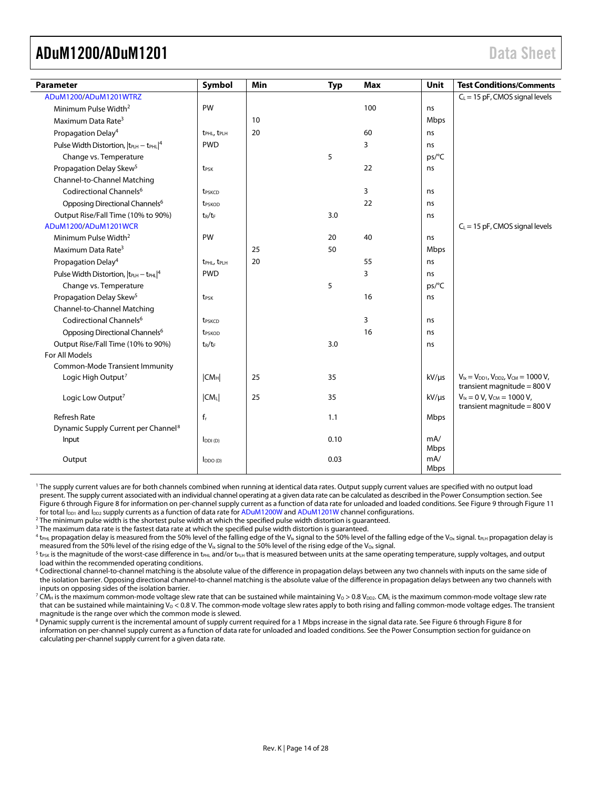<span id="page-13-0"></span>

| <b>Parameter</b>                                              | Symbol                              | Min | <b>Typ</b> | <b>Max</b> | Unit        | <b>Test Conditions/Comments</b>                                                      |
|---------------------------------------------------------------|-------------------------------------|-----|------------|------------|-------------|--------------------------------------------------------------------------------------|
| ADuM1200/ADuM1201WTRZ                                         |                                     |     |            |            |             | $C_L$ = 15 pF, CMOS signal levels                                                    |
| Minimum Pulse Width <sup>2</sup>                              | PW                                  |     |            | 100        | ns          |                                                                                      |
| Maximum Data Rate <sup>3</sup>                                |                                     | 10  |            |            | Mbps        |                                                                                      |
| Propagation Delay <sup>4</sup>                                | t <sub>PHL</sub> , t <sub>PLH</sub> | 20  |            | 60         | ns          |                                                                                      |
| Pulse Width Distortion, $ t_{\text{PLH}} - t_{\text{PHL}} ^4$ | <b>PWD</b>                          |     |            | 3          | ns          |                                                                                      |
| Change vs. Temperature                                        |                                     |     | 5          |            | ps/°C       |                                                                                      |
| Propagation Delay Skew <sup>5</sup>                           | t <sub>PSK</sub>                    |     |            | 22         | ns          |                                                                                      |
| Channel-to-Channel Matching                                   |                                     |     |            |            |             |                                                                                      |
| Codirectional Channels <sup>6</sup>                           | <b>t</b> <sub>pskCD</sub>           |     |            | 3          | ns          |                                                                                      |
| Opposing Directional Channels <sup>6</sup>                    | t <sub>PSKOD</sub>                  |     |            | 22         | ns          |                                                                                      |
| Output Rise/Fall Time (10% to 90%)                            | $t_R/t_F$                           |     | 3.0        |            | ns          |                                                                                      |
| ADuM1200/ADuM1201WCR                                          |                                     |     |            |            |             | $C_L$ = 15 pF, CMOS signal levels                                                    |
| Minimum Pulse Width <sup>2</sup>                              | PW                                  |     | 20         | 40         | ns          |                                                                                      |
| Maximum Data Rate <sup>3</sup>                                |                                     | 25  | 50         |            | Mbps        |                                                                                      |
| Propagation Delay <sup>4</sup>                                | t <sub>PHL</sub> , t <sub>PLH</sub> | 20  |            | 55         | ns          |                                                                                      |
| Pulse Width Distortion, $ t_{\text{PLH}} - t_{\text{PHL}} ^4$ | <b>PWD</b>                          |     |            | 3          | ns          |                                                                                      |
| Change vs. Temperature                                        |                                     |     | 5          |            | ps/°C       |                                                                                      |
| Propagation Delay Skew <sup>5</sup>                           | t <sub>PSK</sub>                    |     |            | 16         | ns          |                                                                                      |
| Channel-to-Channel Matching                                   |                                     |     |            |            |             |                                                                                      |
| Codirectional Channels <sup>6</sup>                           | t <sub>PSKCD</sub>                  |     |            | 3          | ns          |                                                                                      |
| Opposing Directional Channels <sup>6</sup>                    | t <sub>PSKOD</sub>                  |     |            | 16         | ns          |                                                                                      |
| Output Rise/Fall Time (10% to 90%)                            | $t_R/t_F$                           |     | 3.0        |            | ns          |                                                                                      |
| For All Models                                                |                                     |     |            |            |             |                                                                                      |
| <b>Common-Mode Transient Immunity</b>                         |                                     |     |            |            |             |                                                                                      |
| Logic High Output <sup>7</sup>                                | CM <sub>H</sub>                     | 25  | 35         |            | $kV/\mu s$  | $V_{1x} = V_{DD1}$ , $V_{DD2}$ , $V_{CM} = 1000 V$ ,<br>transient magnitude = $800V$ |
| Logic Low Output <sup>7</sup>                                 | $ CM_L $                            | 25  | 35         |            | $kV/\mu s$  | $V_{1x} = 0 V$ , $V_{CM} = 1000 V$ ,                                                 |
|                                                               |                                     |     |            |            |             | transient magnitude = $800V$                                                         |
| <b>Refresh Rate</b>                                           | $f_r$                               |     | 1.1        |            | Mbps        |                                                                                      |
| Dynamic Supply Current per Channel <sup>8</sup>               |                                     |     |            |            |             |                                                                                      |
| Input                                                         | $I_{DDI(D)}$                        |     | 0.10       |            | mA/         |                                                                                      |
| Output                                                        |                                     |     | 0.03       |            | Mbps<br>mA/ |                                                                                      |
|                                                               | $I_{DDO(D)}$                        |     |            |            | Mbps        |                                                                                      |

<sup>1</sup> The supply current values are for both channels combined when running at identical data rates. Output supply current values are specified with no output load present. The supply current associated with an individual channel operating at a given data rate can be calculated as described in th[e Power Consumption](#page-24-0) section. See [Figure 6](#page-22-1) throug[h Figure 8](#page-22-2) for information on per-channel supply current as a function of data rate for unloaded and loaded conditions. Se[e Figure 9](#page-22-3) throug[h Figure 11](#page-22-4) for total I<sub>DD1</sub> and I<sub>DD2</sub> supply currents as a function of data rate fo[r ADuM1200W](http://www.analog.com/ADuM1200?doc=ADuM1200_1201.pdf) an[d ADuM1201W](http://www.analog.com/ADuM1201?doc=ADuM1200_1201.pdf) channel configurations.

<sup>2</sup> The minimum pulse width is the shortest pulse width at which the specified pulse width distortion is guaranteed.

<sup>3</sup> The maximum data rate is the fastest data rate at which the specified pulse width distortion is guaranteed.

 $^4$  t<sub>PHL</sub> propagation delay is measured from the 50% level of the falling edge of the V<sub>Ix</sub> signal to the 50% level of the falling edge of the V<sub>ox</sub> signal. t<sub>PLH</sub> propagation delay is measured from the 50% level of the rising edge of the V<sub>Ix</sub> signal to the 50% level of the rising edge of the V<sub>Ox</sub> signal.

 $^5$  t $_{\rm{PSK}}$  is the magnitude of the worst-case difference in t $_{\rm{PHL}}$  and/or t $_{\rm{PLH}}$  that is measured between units at the same operating temperature, supply voltages, and output load within the recommended operating conditions.

<sup>6</sup> Codirectional channel-to-channel matching is the absolute value of the difference in propagation delays between any two channels with inputs on the same side of the isolation barrier. Opposing directional channel-to-channel matching is the absolute value of the difference in propagation delays between any two channels with inputs on opposing sides of the isolation barrier.

<sup>7</sup> CM<sub>H</sub> is the maximum common-mode voltage slew rate that can be sustained while maintaining V<sub>0</sub> > 0.8 V<sub>DD2</sub>. CM<sub>L</sub> is the maximum common-mode voltage slew rate that can be sustained while maintaining  $V_0 < 0.8$  V. The common-mode voltage slew rates apply to both rising and falling common-mode voltage edges. The transient magnitude is the range over which the common mode is slewed.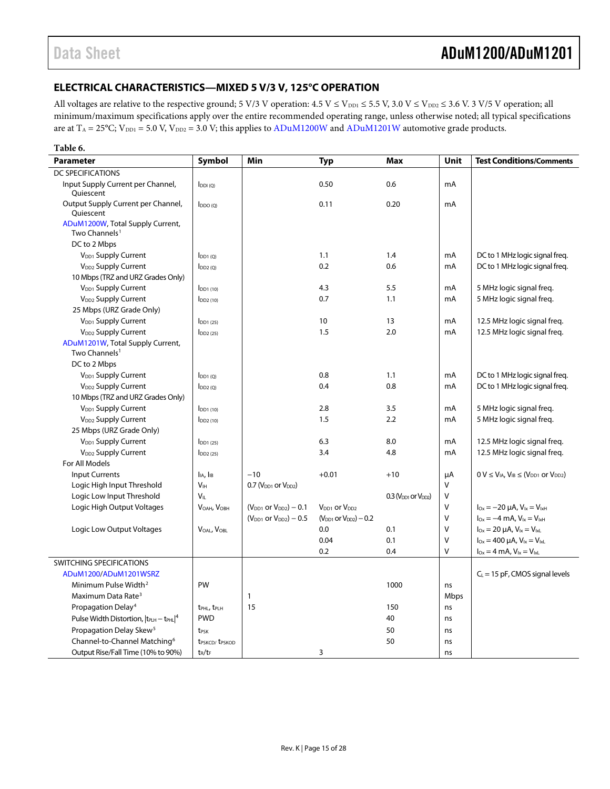## <span id="page-14-0"></span>**ELECTRICAL CHARACTERISTICS—MIXED 5 V/3 V, 125°C OPERATION**

All voltages are relative to the respective ground; 5 V/3 V operation:  $4.5$  V  $\leq$  V<sub>DD1</sub>  $\leq$  5.5 V, 3.0 V  $\leq$  V<sub>DD2</sub>  $\leq$  3.6 V. 3 V/5 V operation; all minimum/maximum specifications apply over the entire recommended operating range, unless otherwise noted; all typical specifications are at  $T_A = 25^{\circ}C$ ;  $V_{DD1} = 5.0$  V,  $V_{DD2} = 3.0$  V; this applies to  $ADuM1200W$  and  $ADuM1201W$  automotive grade products.

| Table 6.                                                      |                                        |                                |                                 |                            |             |                                                                    |
|---------------------------------------------------------------|----------------------------------------|--------------------------------|---------------------------------|----------------------------|-------------|--------------------------------------------------------------------|
| <b>Parameter</b>                                              | Symbol                                 | Min                            | Typ                             | Max                        | <b>Unit</b> | <b>Test Conditions/Comments</b>                                    |
| <b>DC SPECIFICATIONS</b>                                      |                                        |                                |                                 |                            |             |                                                                    |
| Input Supply Current per Channel,<br>Quiescent                | $I_{DDI(Q)}$                           |                                | 0.50                            | 0.6                        | mA          |                                                                    |
| Output Supply Current per Channel,<br>Quiescent               | $I_{DDO(O)}$                           |                                | 0.11                            | 0.20                       | mA          |                                                                    |
| ADuM1200W, Total Supply Current,<br>Two Channels <sup>1</sup> |                                        |                                |                                 |                            |             |                                                                    |
| DC to 2 Mbps                                                  |                                        |                                |                                 |                            |             |                                                                    |
| V <sub>DD1</sub> Supply Current                               | $I_{DD1(Q)}$                           |                                | 1.1                             | 1.4                        | mA          | DC to 1 MHz logic signal freq.                                     |
| V <sub>DD2</sub> Supply Current                               | $I_{DD2(Q)}$                           |                                | 0.2                             | 0.6                        | mA          | DC to 1 MHz logic signal freq.                                     |
| 10 Mbps (TRZ and URZ Grades Only)                             |                                        |                                |                                 |                            |             |                                                                    |
| V <sub>DD1</sub> Supply Current                               | $IDD1$ (10)                            |                                | 4.3                             | 5.5                        | mA          | 5 MHz logic signal freg.                                           |
| V <sub>DD2</sub> Supply Current                               | $I_{DD2(10)}$                          |                                | 0.7                             | 1.1                        | mA          | 5 MHz logic signal freq.                                           |
| 25 Mbps (URZ Grade Only)                                      |                                        |                                |                                 |                            |             |                                                                    |
| V <sub>DD1</sub> Supply Current                               | $I_{DD1(25)}$                          |                                | 10                              | 13                         | mA          | 12.5 MHz logic signal freq.                                        |
| V <sub>DD2</sub> Supply Current                               | $I_{DD2(25)}$                          |                                | 1.5                             | 2.0                        | mA          | 12.5 MHz logic signal freq.                                        |
| ADuM1201W, Total Supply Current,<br>Two Channels <sup>1</sup> |                                        |                                |                                 |                            |             |                                                                    |
| DC to 2 Mbps                                                  |                                        |                                |                                 |                            |             |                                                                    |
| V <sub>DD1</sub> Supply Current                               | $I_{DD1(Q)}$                           |                                | 0.8                             | 1.1                        | mA          | DC to 1 MHz logic signal freg.                                     |
| V <sub>DD2</sub> Supply Current                               | $I_{DD2(Q)}$                           |                                | 0.4                             | 0.8                        | mA          | DC to 1 MHz logic signal freq.                                     |
| 10 Mbps (TRZ and URZ Grades Only)                             |                                        |                                |                                 |                            |             |                                                                    |
| V <sub>DD1</sub> Supply Current                               | $I_{DD1(10)}$                          |                                | 2.8                             | 3.5                        | mA          | 5 MHz logic signal freg.                                           |
| V <sub>DD2</sub> Supply Current                               | $I_{DD2(10)}$                          |                                | 1.5                             | 2.2                        | mA          | 5 MHz logic signal freq.                                           |
| 25 Mbps (URZ Grade Only)                                      |                                        |                                |                                 |                            |             |                                                                    |
| V <sub>DD1</sub> Supply Current                               | $I_{DD1(25)}$                          |                                | 6.3                             | 8.0                        | mA          | 12.5 MHz logic signal freq.                                        |
| V <sub>DD2</sub> Supply Current                               | $I_{DD2(25)}$                          |                                | 3.4                             | 4.8                        | mA          | 12.5 MHz logic signal freq.                                        |
| For All Models                                                |                                        |                                |                                 |                            |             |                                                                    |
| <b>Input Currents</b>                                         | I <sub>IA</sub> , I <sub>IB</sub>      | $-10$                          | $+0.01$                         | $+10$                      | μA          | $0 V \leq V_{IA}$ , $V_{IB} \leq (V_{DD1}$ or $V_{DD2})$           |
| Logic High Input Threshold                                    | V <sub>IH</sub>                        | $0.7$ ( $VDD1$ or $VDD2$ )     |                                 |                            | $\vee$      |                                                                    |
| Logic Low Input Threshold                                     | $V_{IL}$                               |                                |                                 | $0.3$ ( $VDD1$ or $VDD2$ ) | $\vee$      |                                                                    |
| Logic High Output Voltages                                    | V <sub>OAH</sub> , V <sub>OBH</sub>    | $(V_{DD1}$ or $V_{DD2}) - 0.1$ | $V_{DD1}$ or $V_{DD2}$          |                            | $\vee$      | $I_{Ox} = -20 \mu A$ , $V_{ix} = V_{ixH}$                          |
|                                                               |                                        | $(V_{DD1}$ or $V_{DD2}) - 0.5$ | $(V_{DD1}$ or $V_{DD2}$ ) – 0.2 |                            | $\vee$      | $I_{\text{Ox}} = -4 \text{ mA}$ , $V_{\text{lx}} = V_{\text{lxH}}$ |
| Logic Low Output Voltages                                     | $V_{OAI}$ , $V_{OBI}$                  |                                | 0.0                             | 0.1                        | $\vee$      | $I_{Ox} = 20 \mu A$ , $V_{ix} = V_{ixl}$                           |
|                                                               |                                        |                                | 0.04                            | 0.1                        | $\vee$      | $I_{Ox} = 400 \mu A$ , $V_{ix} = V_{ixL}$                          |
|                                                               |                                        |                                | 0.2                             | 0.4                        | $\vee$      | $I_{Ox} = 4$ mA, $V_{1x} = V_{1xL}$                                |
| <b>SWITCHING SPECIFICATIONS</b>                               |                                        |                                |                                 |                            |             |                                                                    |
| ADuM1200/ADuM1201WSRZ                                         |                                        |                                |                                 |                            |             | $C_L$ = 15 pF, CMOS signal levels                                  |
| Minimum Pulse Width <sup>2</sup>                              | PW                                     |                                |                                 | 1000                       | ns          |                                                                    |
| Maximum Data Rate <sup>3</sup>                                |                                        | $\mathbf{1}$                   |                                 |                            | Mbps        |                                                                    |
| Propagation Delay <sup>4</sup>                                | t <sub>PHL</sub> , t <sub>PLH</sub>    | 15                             |                                 | 150                        | ns          |                                                                    |
| Pulse Width Distortion, $ t_{\text{PLH}} - t_{\text{PHL}} ^4$ | <b>PWD</b>                             |                                |                                 | 40                         | ns          |                                                                    |
| Propagation Delay Skew <sup>5</sup>                           | t <sub>PSK</sub>                       |                                |                                 | 50                         | ns          |                                                                    |
| Channel-to-Channel Matching <sup>6</sup>                      | t <sub>PSKCD</sub> /t <sub>PSKOD</sub> |                                |                                 | 50                         | ns          |                                                                    |
| Output Rise/Fall Time (10% to 90%)                            | $t_R/t_F$                              |                                | 3                               |                            | ns          |                                                                    |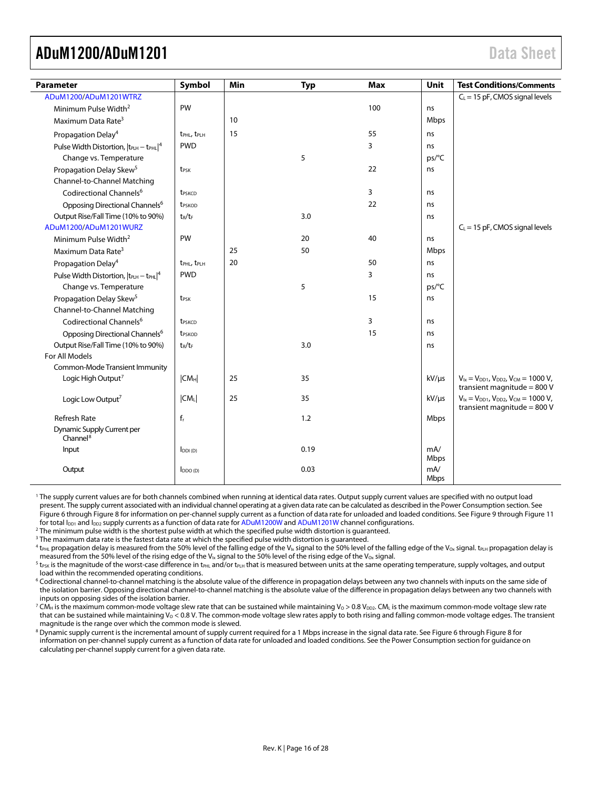<span id="page-15-0"></span>

| Parameter                                                       | Symbol                              | Min | <b>Typ</b> | Max | Unit               | <b>Test Conditions/Comments</b>                                                      |
|-----------------------------------------------------------------|-------------------------------------|-----|------------|-----|--------------------|--------------------------------------------------------------------------------------|
| ADuM1200/ADuM1201WTRZ                                           |                                     |     |            |     |                    | $C_L$ = 15 pF, CMOS signal levels                                                    |
| Minimum Pulse Width <sup>2</sup>                                | PW                                  |     |            | 100 | ns                 |                                                                                      |
| Maximum Data Rate <sup>3</sup>                                  |                                     | 10  |            |     | Mbps               |                                                                                      |
| Propagation Delay <sup>4</sup>                                  | t <sub>PHL</sub> , t <sub>PLH</sub> | 15  |            | 55  | ns                 |                                                                                      |
| Pulse Width Distortion,  t <sub>PLH</sub> - t <sub>PHL</sub>  4 | <b>PWD</b>                          |     |            | 3   | ns                 |                                                                                      |
| Change vs. Temperature                                          |                                     |     | 5          |     | ps/°C              |                                                                                      |
| Propagation Delay Skew <sup>5</sup>                             | t <sub>PSK</sub>                    |     |            | 22  | ns                 |                                                                                      |
| Channel-to-Channel Matching                                     |                                     |     |            |     |                    |                                                                                      |
| Codirectional Channels <sup>6</sup>                             | t <sub>PSKCD</sub>                  |     |            | 3   | ns                 |                                                                                      |
| Opposing Directional Channels <sup>6</sup>                      | t <sub>PSKOD</sub>                  |     |            | 22  | ns                 |                                                                                      |
| Output Rise/Fall Time (10% to 90%)                              | $t_R/t_F$                           |     | 3.0        |     | ns                 |                                                                                      |
| ADuM1200/ADuM1201WURZ                                           |                                     |     |            |     |                    | $C_L$ = 15 pF, CMOS signal levels                                                    |
| Minimum Pulse Width <sup>2</sup>                                | PW                                  |     | 20         | 40  | ns                 |                                                                                      |
| Maximum Data Rate <sup>3</sup>                                  |                                     | 25  | 50         |     | Mbps               |                                                                                      |
| Propagation Delay <sup>4</sup>                                  | t <sub>PHL</sub> , t <sub>PLH</sub> | 20  |            | 50  | ns                 |                                                                                      |
| Pulse Width Distortion, $ t_{PLH} - t_{PHL} ^4$                 | <b>PWD</b>                          |     |            | 3   | ns                 |                                                                                      |
| Change vs. Temperature                                          |                                     |     | 5          |     | ps/°C              |                                                                                      |
| Propagation Delay Skew <sup>5</sup>                             | t <sub>PSK</sub>                    |     |            | 15  | ns                 |                                                                                      |
| Channel-to-Channel Matching                                     |                                     |     |            |     |                    |                                                                                      |
| Codirectional Channels <sup>6</sup>                             | t <sub>PSKCD</sub>                  |     |            | 3   | ns                 |                                                                                      |
| Opposing Directional Channels <sup>6</sup>                      | t <sub>PSKOD</sub>                  |     |            | 15  | ns                 |                                                                                      |
| Output Rise/Fall Time (10% to 90%)                              | $t_R/t_F$                           |     | 3.0        |     | ns                 |                                                                                      |
| For All Models                                                  |                                     |     |            |     |                    |                                                                                      |
| Common-Mode Transient Immunity                                  |                                     |     |            |     |                    |                                                                                      |
| Logic High Output <sup>7</sup>                                  | CM <sub>H</sub>                     | 25  | 35         |     | $kV/\mu s$         | $V_{1x} = V_{DD1}$ , $V_{DD2}$ , $V_{CM} = 1000 V$ ,<br>transient magnitude = $800V$ |
| Logic Low Output <sup>7</sup>                                   | CM <sub>L</sub>                     | 25  | 35         |     | $kV/\mu s$         | $V_{1x} = V_{DD1}$ , $V_{DD2}$ , $V_{CM} = 1000 V$ ,<br>transient magnitude = $800V$ |
| <b>Refresh Rate</b>                                             | $f_r$                               |     | 1.2        |     | Mbps               |                                                                                      |
| <b>Dynamic Supply Current per</b><br>Channel <sup>8</sup>       |                                     |     |            |     |                    |                                                                                      |
| Input                                                           | $I_{DDI(D)}$                        |     | 0.19       |     | mA/<br>Mbps        |                                                                                      |
| Output                                                          | $I_{DDO(D)}$                        |     | 0.03       |     | mA/<br><b>Mbps</b> |                                                                                      |

<sup>1</sup> The supply current values are for both channels combined when running at identical data rates. Output supply current values are specified with no output load present. The supply current associated with an individual channel operating at a given data rate can be calculated as described in th[e Power Consumption](#page-24-0) section. See [Figure 6](#page-22-1) throug[h Figure 8](#page-22-2) for information on per-channel supply current as a function of data rate for unloaded and loaded conditions. Se[e Figure 9](#page-22-3) throug[h Figure 11](#page-22-4) for total  $I_{DD1}$  and  $I_{DD2}$  supply currents as a function of data rate fo[r ADuM1200W](http://www.analog.com/ADuM1200?doc=ADuM1200_1201.pdf) an[d ADuM1201W](http://www.analog.com/ADuM1201?doc=ADuM1200_1201.pdf) channel configurations.

<sup>2</sup> The minimum pulse width is the shortest pulse width at which the specified pulse width distortion is guaranteed.

<sup>3</sup> The maximum data rate is the fastest data rate at which the specified pulse width distortion is quaranteed.

 $^4$  t<sub>PHL</sub> propagation delay is measured from the 50% level of the falling edge of the V<sub>Ix</sub> signal to the 50% level of the falling edge of the V<sub>ox</sub> signal. t<sub>PLH</sub> propagation delay is measured from the 50% level of the rising edge of the V<sub>Ix</sub> signal to the 50% level of the rising edge of the V<sub>Ox</sub> signal.

 $^5$  t<sub>PSK</sub> is the magnitude of the worst-case difference in t<sub>PHL</sub> and/or t<sub>PLH</sub> that is measured between units at the same operating temperature, supply voltages, and output load within the recommended operating conditions.

<sup>6</sup> Codirectional channel-to-channel matching is the absolute value of the difference in propagation delays between any two channels with inputs on the same side of the isolation barrier. Opposing directional channel-to-channel matching is the absolute value of the difference in propagation delays between any two channels with inputs on opposing sides of the isolation barrier.

<sup>7</sup> CM<sub>H</sub> is the maximum common-mode voltage slew rate that can be sustained while maintaining V<sub>0</sub> > 0.8 V<sub>DD2</sub>. CM<sub>L</sub> is the maximum common-mode voltage slew rate that can be sustained while maintaining  $V_0 < 0.8$  V. The common-mode voltage slew rates apply to both rising and falling common-mode voltage edges. The transient magnitude is the range over which the common mode is slewed.

<sup>8</sup> Dynamic supply current is the incremental amount of supply current required for a 1 Mbps increase in the signal data rate. Se[e Figure 6](#page-22-1) throug[h Figure 8](#page-22-2) for information on per-channel supply current as a function of data rate for unloaded and loaded conditions. See the [Power Consumption](#page-24-0) section for guidance on

calculating per-channel supply current for a given data rate.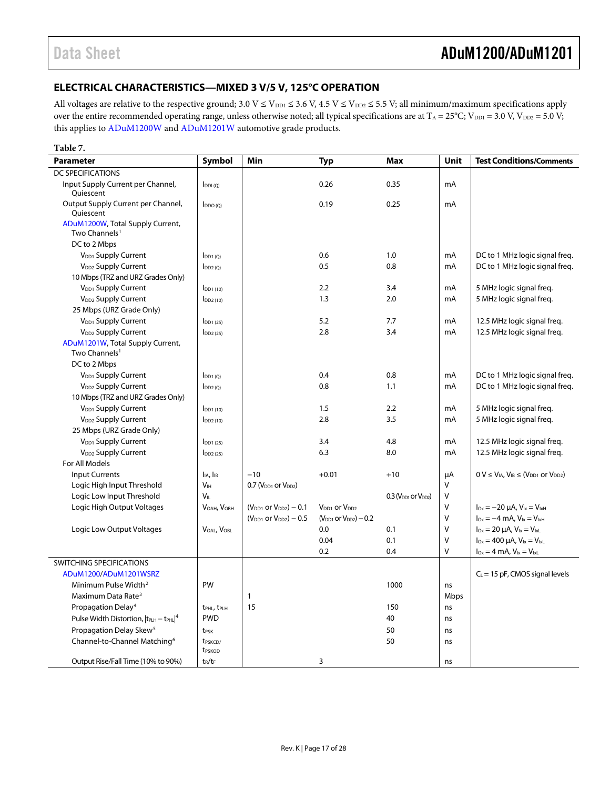### <span id="page-16-0"></span>**ELECTRICAL CHARACTERISTICS—MIXED 3 V/5 V, 125°C OPERATION**

All voltages are relative to the respective ground;  $3.0 V \le V_{DD1} \le 3.6 V$ ,  $4.5 V \le V_{DD2} \le 5.5 V$ ; all minimum/maximum specifications apply over the entire recommended operating range, unless otherwise noted; all typical specifications are at  $T_A = 25^{\circ}C$ ;  $V_{DD1} = 3.0$  V,  $V_{DD2} = 5.0$  V; this applies t[o ADuM1200W](http://www.analog.com/ADuM1200?doc=ADuM1200_1201.pdf) an[d ADuM1201W](http://www.analog.com/ADuM1201?doc=ADuM1200_1201.pdf) automotive grade products.

#### **Table 7.**

| <b>Parameter</b>                                              | Symbol                                   | Min                              | <b>Typ</b>                      | <b>Max</b>                 | Unit   | <b>Test Conditions/Comments</b>                           |
|---------------------------------------------------------------|------------------------------------------|----------------------------------|---------------------------------|----------------------------|--------|-----------------------------------------------------------|
| DC SPECIFICATIONS                                             |                                          |                                  |                                 |                            |        |                                                           |
| Input Supply Current per Channel,<br>Quiescent                | $I_{DDI(Q)}$                             |                                  | 0.26                            | 0.35                       | mA     |                                                           |
| Output Supply Current per Channel,<br>Ouiescent               | $I_{DDO(O)}$                             |                                  | 0.19                            | 0.25                       | mA     |                                                           |
| ADuM1200W, Total Supply Current,<br>Two Channels <sup>1</sup> |                                          |                                  |                                 |                            |        |                                                           |
| DC to 2 Mbps                                                  |                                          |                                  |                                 |                            |        |                                                           |
| V <sub>DD1</sub> Supply Current                               | $I_{DD1(0)}$                             |                                  | 0.6                             | 1.0                        | mA     | DC to 1 MHz logic signal freg.                            |
| V <sub>DD2</sub> Supply Current                               | $I_{DD2(0)}$                             |                                  | 0.5                             | 0.8                        | mA     | DC to 1 MHz logic signal freq.                            |
| 10 Mbps (TRZ and URZ Grades Only)                             |                                          |                                  |                                 |                            |        |                                                           |
| V <sub>DD1</sub> Supply Current                               | $I_{DD1(10)}$                            |                                  | 2.2                             | 3.4                        | mA     | 5 MHz logic signal freq.                                  |
| V <sub>DD2</sub> Supply Current                               | $I_{DD2(10)}$                            |                                  | 1.3                             | 2.0                        | mA     | 5 MHz logic signal freg.                                  |
| 25 Mbps (URZ Grade Only)                                      |                                          |                                  |                                 |                            |        |                                                           |
| V <sub>DD1</sub> Supply Current                               | $I_{DD1(25)}$                            |                                  | 5.2                             | 7.7                        | mA     | 12.5 MHz logic signal freq.                               |
| V <sub>DD2</sub> Supply Current                               | $I_{DD2(25)}$                            |                                  | 2.8                             | 3.4                        | mA     | 12.5 MHz logic signal freq.                               |
| ADuM1201W, Total Supply Current,<br>Two Channels <sup>1</sup> |                                          |                                  |                                 |                            |        |                                                           |
| DC to 2 Mbps                                                  |                                          |                                  |                                 |                            |        |                                                           |
| V <sub>DD1</sub> Supply Current                               | [DD1(0)]                                 |                                  | 0.4                             | 0.8                        | mA     | DC to 1 MHz logic signal freq.                            |
| V <sub>DD2</sub> Supply Current                               | $I_{DD2(Q)}$                             |                                  | 0.8                             | 1.1                        | mA     | DC to 1 MHz logic signal freq.                            |
| 10 Mbps (TRZ and URZ Grades Only)                             |                                          |                                  |                                 |                            |        |                                                           |
| V <sub>DD1</sub> Supply Current                               | $I_{DD1(10)}$                            |                                  | 1.5                             | 2.2                        | mA     | 5 MHz logic signal freq.                                  |
| V <sub>DD2</sub> Supply Current                               | $I_{DD2(10)}$                            |                                  | 2.8                             | 3.5                        | mA     | 5 MHz logic signal freq.                                  |
| 25 Mbps (URZ Grade Only)                                      |                                          |                                  |                                 |                            |        |                                                           |
| V <sub>DD1</sub> Supply Current                               | $I_{DD1(25)}$                            |                                  | 3.4                             | 4.8                        | mA     | 12.5 MHz logic signal freq.                               |
| V <sub>DD2</sub> Supply Current                               | $I_{DD2(25)}$                            |                                  | 6.3                             | 8.0                        | mA     | 12.5 MHz logic signal freq.                               |
| For All Models                                                |                                          |                                  |                                 |                            |        |                                                           |
| <b>Input Currents</b>                                         | I <sub>IA</sub> , I <sub>IB</sub>        | $-10$                            | $+0.01$                         | $+10$                      | μA     | $0 V \leq V_{IA}$ , $V_{IB} \leq (V_{DD1}$ or $V_{DD2})$  |
| Logic High Input Threshold                                    | V <sub>IH</sub>                          | $0.7$ ( $V_{DD1}$ or $V_{DD2}$ ) |                                 |                            | V      |                                                           |
| Logic Low Input Threshold                                     | $V_{II}$                                 |                                  |                                 | $0.3$ ( $VDD1$ or $VDD2$ ) | V      |                                                           |
| Logic High Output Voltages                                    | V <sub>OAH</sub> , V <sub>OBH</sub>      | $(V_{DD1}$ or $V_{DD2}) - 0.1$   | $V_{DD1}$ or $V_{DD2}$          |                            | V      | $I_{Ox} = -20 \mu A$ , $V_{ix} = V_{ixH}$                 |
|                                                               |                                          | $(V_{DD1}$ or $V_{DD2}$ ) – 0.5  | $(V_{DD1}$ or $V_{DD2}$ ) – 0.2 |                            | $\vee$ | $I_{\text{Ox}} = -4$ mA, $V_{\text{lx}} = V_{\text{lxH}}$ |
| Logic Low Output Voltages                                     | VOAL, VOBL                               |                                  | 0.0                             | 0.1                        | $\vee$ | $I_{Ox} = 20 \mu A$ , $V_{ix} = V_{ixL}$                  |
|                                                               |                                          |                                  | 0.04                            | 0.1                        | $\vee$ | $I_{Ox} = 400 \mu A$ , $V_{ix} = V_{ixL}$                 |
|                                                               |                                          |                                  | 0.2                             | 0.4                        | $\vee$ | $I_{Ox} = 4$ mA, $V_{1x} = V_{1xL}$                       |
| SWITCHING SPECIFICATIONS                                      |                                          |                                  |                                 |                            |        |                                                           |
| ADuM1200/ADuM1201WSRZ                                         |                                          |                                  |                                 |                            |        | $C_L$ = 15 pF, CMOS signal levels                         |
| Minimum Pulse Width <sup>2</sup>                              | PW                                       |                                  |                                 | 1000                       | ns     |                                                           |
| Maximum Data Rate <sup>3</sup>                                |                                          | $\mathbf{1}$                     |                                 |                            | Mbps   |                                                           |
| Propagation Delay <sup>4</sup>                                | t <sub>PHL</sub> , t <sub>PLH</sub>      | 15                               |                                 | 150                        | ns     |                                                           |
| Pulse Width Distortion, $ t_{\text{PLH}} - t_{\text{PHL}} ^4$ | <b>PWD</b>                               |                                  |                                 | 40                         | ns     |                                                           |
| Propagation Delay Skew <sup>5</sup>                           | t <sub>PSK</sub>                         |                                  |                                 | 50                         | ns     |                                                           |
| Channel-to-Channel Matching <sup>6</sup>                      | t <sub>PSKCD</sub><br>t <sub>PSKOD</sub> |                                  |                                 | 50                         | ns     |                                                           |
| Output Rise/Fall Time (10% to 90%)                            | $t_R/t_F$                                |                                  | 3                               |                            | ns     |                                                           |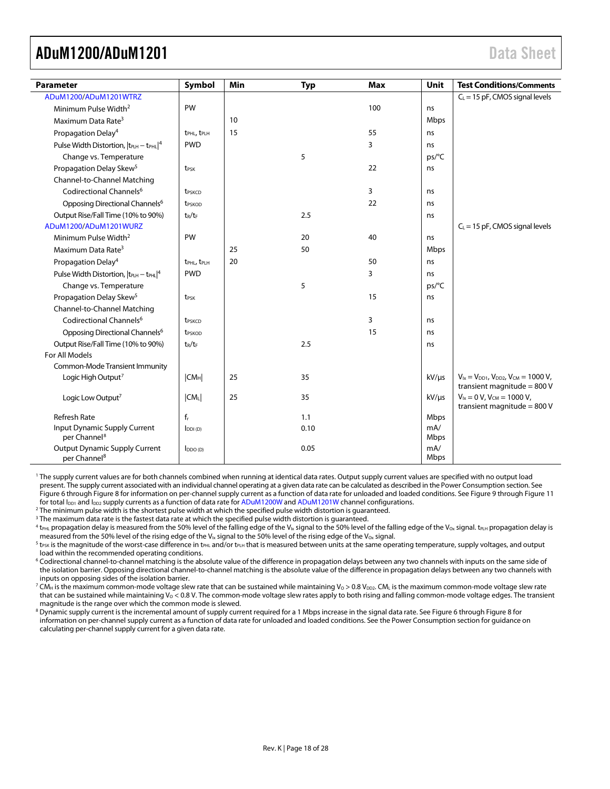<span id="page-17-0"></span>

| <b>Parameter</b>                                                 | Symbol                              | Min | <b>Typ</b> | <b>Max</b> | Unit        | <b>Test Conditions/Comments</b>                                                      |
|------------------------------------------------------------------|-------------------------------------|-----|------------|------------|-------------|--------------------------------------------------------------------------------------|
| ADuM1200/ADuM1201WTRZ                                            |                                     |     |            |            |             | $C_L$ = 15 pF, CMOS signal levels                                                    |
| Minimum Pulse Width <sup>2</sup>                                 | PW                                  |     |            | 100        | ns          |                                                                                      |
| Maximum Data Rate <sup>3</sup>                                   |                                     | 10  |            |            | Mbps        |                                                                                      |
| Propagation Delay <sup>4</sup>                                   | t <sub>PHL</sub> , t <sub>PLH</sub> | 15  |            | 55         | ns          |                                                                                      |
| Pulse Width Distortion, $ t_{\text{PLH}} - t_{\text{PHL}} ^4$    | <b>PWD</b>                          |     |            | 3          | ns          |                                                                                      |
| Change vs. Temperature                                           |                                     |     | 5          |            | ps/°C       |                                                                                      |
| Propagation Delay Skew <sup>5</sup>                              | t <sub>PSK</sub>                    |     |            | 22         | ns          |                                                                                      |
| Channel-to-Channel Matching                                      |                                     |     |            |            |             |                                                                                      |
| Codirectional Channels <sup>6</sup>                              | t <sub>PSKCD</sub>                  |     |            | 3          | ns          |                                                                                      |
| Opposing Directional Channels <sup>6</sup>                       | t <sub>PSKOD</sub>                  |     |            | 22         | ns          |                                                                                      |
| Output Rise/Fall Time (10% to 90%)                               | $t_R/t_F$                           |     | 2.5        |            | ns          |                                                                                      |
| ADuM1200/ADuM1201WURZ                                            |                                     |     |            |            |             | $C_L$ = 15 pF, CMOS signal levels                                                    |
| Minimum Pulse Width <sup>2</sup>                                 | PW                                  |     | 20         | 40         | ns          |                                                                                      |
| Maximum Data Rate <sup>3</sup>                                   |                                     | 25  | 50         |            | Mbps        |                                                                                      |
| Propagation Delay <sup>4</sup>                                   | t <sub>PHL</sub> , t <sub>PLH</sub> | 20  |            | 50         | ns          |                                                                                      |
| Pulse Width Distortion, $ t_{\text{PLH}} - t_{\text{PHL}} ^4$    | <b>PWD</b>                          |     |            | 3          | ns          |                                                                                      |
| Change vs. Temperature                                           |                                     |     | 5          |            | ps/°C       |                                                                                      |
| Propagation Delay Skew <sup>5</sup>                              | t <sub>PSK</sub>                    |     |            | 15         | ns          |                                                                                      |
| Channel-to-Channel Matching                                      |                                     |     |            |            |             |                                                                                      |
| Codirectional Channels <sup>6</sup>                              | t <sub>PSKCD</sub>                  |     |            | 3          | ns          |                                                                                      |
| Opposing Directional Channels <sup>6</sup>                       | t <sub>PSKOD</sub>                  |     |            | 15         | ns          |                                                                                      |
| Output Rise/Fall Time (10% to 90%)                               | $t_R/t_F$                           |     | 2.5        |            | ns          |                                                                                      |
| For All Models                                                   |                                     |     |            |            |             |                                                                                      |
| Common-Mode Transient Immunity                                   |                                     |     |            |            |             |                                                                                      |
| Logic High Output <sup>7</sup>                                   | CM <sub>H</sub>                     | 25  | 35         |            | $kV/\mu s$  | $V_{1x} = V_{DD1}$ , $V_{DD2}$ , $V_{CM} = 1000 V$ ,<br>transient magnitude = $800V$ |
| Logic Low Output <sup>7</sup>                                    | $ CM_L $                            | 25  | 35         |            | $kV/\mu s$  | $V_{ix} = 0 V$ , $V_{CM} = 1000 V$ ,<br>transient magnitude = $800$ V                |
| <b>Refresh Rate</b>                                              | $f_r$                               |     | 1.1        |            | Mbps        |                                                                                      |
| Input Dynamic Supply Current<br>per Channel <sup>8</sup>         | $I_{DDI(D)}$                        |     | 0.10       |            | mA/<br>Mbps |                                                                                      |
| <b>Output Dynamic Supply Current</b><br>per Channel <sup>8</sup> | $I_{DDO(D)}$                        |     | 0.05       |            | mA/<br>Mbps |                                                                                      |

<sup>1</sup> The supply current values are for both channels combined when running at identical data rates. Output supply current values are specified with no output load present. The supply current associated with an individual channel operating at a given data rate can be calculated as described in th[e Power Consumption](#page-24-0) section. See [Figure 6](#page-22-1) throug[h Figure 8](#page-22-2) for information on per-channel supply current as a function of data rate for unloaded and loaded conditions. Se[e Figure 9](#page-22-3) throug[h Figure 11](#page-22-4) for total  $I_{DD1}$  and  $I_{DD2}$  supply currents as a function of data rate fo[r ADuM1200W](http://www.analog.com/ADuM1200?doc=ADuM1200_1201.pdf) an[d ADuM1201W](http://www.analog.com/ADuM1201?doc=ADuM1200_1201.pdf) channel configurations.

 $<sup>2</sup>$  The minimum pulse width is the shortest pulse width at which the specified pulse width distortion is quaranteed.</sup>

<sup>3</sup> The maximum data rate is the fastest data rate at which the specified pulse width distortion is guaranteed.

 $^4$  t<sub>PHL</sub> propagation delay is measured from the 50% level of the falling edge of the V<sub>Ix</sub> signal to the 50% level of the falling edge of the V<sub>Ox</sub> signal. t<sub>PLH</sub> propagation delay is measured from the 50% level of the rising edge of the V<sub>Ix</sub> signal to the 50% level of the rising edge of the V<sub>Ox</sub> signal.

 $^5$  t<sub>PSK</sub> is the magnitude of the worst-case difference in t<sub>PHL</sub> and/or t<sub>PLH</sub> that is measured between units at the same operating temperature, supply voltages, and output load within the recommended operating conditions.

<sup>6</sup> Codirectional channel-to-channel matching is the absolute value of the difference in propagation delays between any two channels with inputs on the same side of the isolation barrier. Opposing directional channel-to-channel matching is the absolute value of the difference in propagation delays between any two channels with inputs on opposing sides of the isolation barrier.

<sup>7</sup> CM<sub>H</sub> is the maximum common-mode voltage slew rate that can be sustained while maintaining V<sub>0</sub> > 0.8 V<sub>DD2</sub>. CM<sub>L</sub> is the maximum common-mode voltage slew rate that can be sustained while maintaining  $V_0 < 0.8$  V. The common-mode voltage slew rates apply to both rising and falling common-mode voltage edges. The transient magnitude is the range over which the common mode is slewed.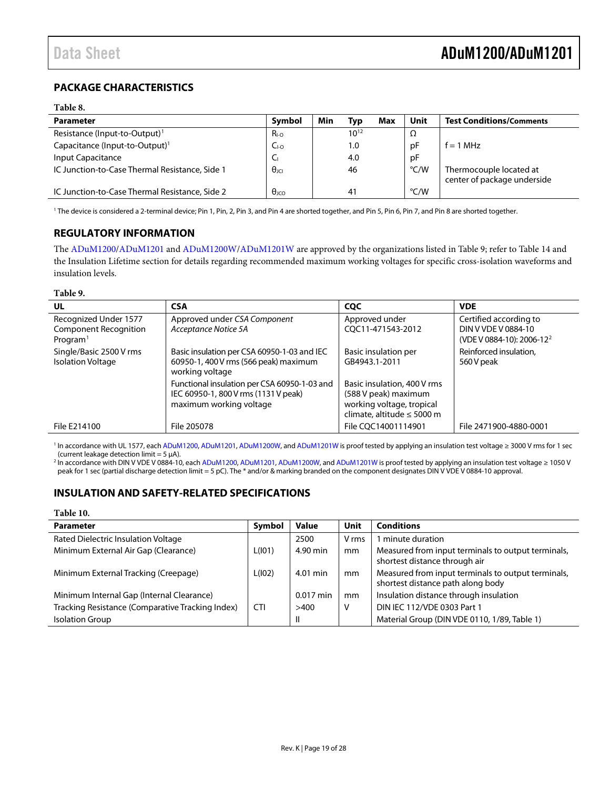## <span id="page-18-0"></span>**PACKAGE CHARACTERISTICS**

#### **Table 8.**

| <b>Parameter</b>                               | Symbol                  | Min | Typ            | Max | Unit | <b>Test Conditions/Comments</b>                        |
|------------------------------------------------|-------------------------|-----|----------------|-----|------|--------------------------------------------------------|
| Resistance (Input-to-Output) <sup>1</sup>      | $R_{I-O}$               |     | $10^{12}$      |     | Ω    |                                                        |
| Capacitance (Input-to-Output) <sup>1</sup>     | $C_{\text{LO}}$         |     | 1.0            |     | рF   | $f = 1 MHz$                                            |
| Input Capacitance                              | Cı                      |     | 4.0            |     | рF   |                                                        |
| IC Junction-to-Case Thermal Resistance, Side 1 | $\theta_{\text{IC}}$    |     | 46             |     | °C/W | Thermocouple located at<br>center of package underside |
| IC Junction-to-Case Thermal Resistance, Side 2 | $\theta$ <sub>ICO</sub> |     | 4 <sup>1</sup> |     | °C/W |                                                        |

<sup>1</sup> The device is considered a 2-terminal device; Pin 1, Pin, 2, Pin 3, and Pin 4 are shorted together. and Pin 5, Pin 6, Pin 7, and Pin 8 are shorted together.

### <span id="page-18-1"></span>**REGULATORY INFORMATION**

The [ADuM1200/](http://www.analog.com/ADuM1200?doc=ADuM1200_1201.pdf)[ADuM1201](http://www.analog.com/ADuM1201?doc=ADuM1200_1201.pdf) an[d ADuM1200W](http://www.analog.com/ADuM1200?doc=ADuM1200_1201.pdf)[/ADuM1201W](http://www.analog.com/ADuM1201?doc=ADuM1200_1201.pdf) are approved by the organizations listed in [Table 9;](#page-18-3) refer to [Table 14](#page-20-2) and the [Insulation Lifetime](#page-24-1) section for details regarding recommended maximum working voltages for specific cross-isolation waveforms and insulation levels.

#### <span id="page-18-3"></span>**Table 9.**

| UL                                                                            | <b>CSA</b>                                                                                                      | <b>CQC</b>                                                                                                     | <b>VDE</b>                                                                             |
|-------------------------------------------------------------------------------|-----------------------------------------------------------------------------------------------------------------|----------------------------------------------------------------------------------------------------------------|----------------------------------------------------------------------------------------|
| Recognized Under 1577<br><b>Component Recognition</b><br>Program <sup>1</sup> | Approved under CSA Component<br>Acceptance Notice 5A                                                            | Approved under<br>COC11-471543-2012                                                                            | Certified according to<br>DIN V VDE V 0884-10<br>(VDE V 0884-10): 2006-12 <sup>2</sup> |
| Single/Basic 2500 V rms<br><b>Isolation Voltage</b>                           | Basic insulation per CSA 60950-1-03 and IEC<br>60950-1, 400 V rms (566 peak) maximum<br>working voltage         | Basic insulation per<br>GB4943.1-2011                                                                          | Reinforced insulation.<br>560 V peak                                                   |
|                                                                               | Functional insulation per CSA 60950-1-03 and<br>IEC 60950-1, 800 V rms (1131 V peak)<br>maximum working voltage | Basic insulation, 400 V rms<br>(588 V peak) maximum<br>working voltage, tropical<br>climate, altitude ≤ 5000 m |                                                                                        |
| File E214100                                                                  | File 205078                                                                                                     | File COC14001114901                                                                                            | File 2471900-4880-0001                                                                 |

<sup>1</sup> In accordance with UL 1577, each [ADuM1200,](http://www.analog.com/ADuM1200?doc=ADuM1200_1201.pdf) [ADuM1201,](http://www.analog.com/ADuM1201?doc=ADuM1200_1201.pdf) [ADuM1200W,](http://www.analog.com/ADuM1200?doc=ADuM1200_1201.pdf) an[d ADuM1201W](http://www.analog.com/ADuM1201?doc=ADuM1200_1201.pdf) is proof tested by applying an insulation test voltage ≥ 3000 V rms for 1 sec (current leakage detection limit =  $5 \mu$ A).

<sup>2</sup> In accordance with DIN V VDE V 0884-10, each [ADuM1200,](http://www.analog.com/ADuM1200?doc=ADuM1200_1201.pdf) [ADuM1201,](http://www.analog.com/ADuM1201?doc=ADuM1200_1201.pdf) [ADuM1200W,](http://www.analog.com/ADuM1200?doc=ADuM1200_1201.pdf) an[d ADuM1201W](http://www.analog.com/ADuM1201?doc=ADuM1200_1201.pdf) is proof tested by applying an insulation test voltage ≥ 1050 V peak for 1 sec (partial discharge detection limit = 5 pC). The \* and/or & marking branded on the component designates DIN V VDE V 0884-10 approval.

## <span id="page-18-2"></span>**INSULATION AND SAFETY-RELATED SPECIFICATIONS**

#### **Table 10.**

| <b>Parameter</b>                                 | Symbol     | <b>Value</b> | Unit  | <b>Conditions</b>                                                                       |
|--------------------------------------------------|------------|--------------|-------|-----------------------------------------------------------------------------------------|
| Rated Dielectric Insulation Voltage              |            | 2500         | V rms | 1 minute duration                                                                       |
| Minimum External Air Gap (Clearance)             | L(101)     | 4.90 min     | mm    | Measured from input terminals to output terminals,<br>shortest distance through air     |
| Minimum External Tracking (Creepage)             | L(102)     | 4.01 min     | mm    | Measured from input terminals to output terminals,<br>shortest distance path along body |
| Minimum Internal Gap (Internal Clearance)        |            | $0.017$ min  | mm    | Insulation distance through insulation                                                  |
| Tracking Resistance (Comparative Tracking Index) | <b>CTI</b> | >400         | v     | DIN IEC 112/VDE 0303 Part 1                                                             |
| <b>Isolation Group</b>                           |            | $\mathsf{I}$ |       | Material Group (DIN VDE 0110, 1/89, Table 1)                                            |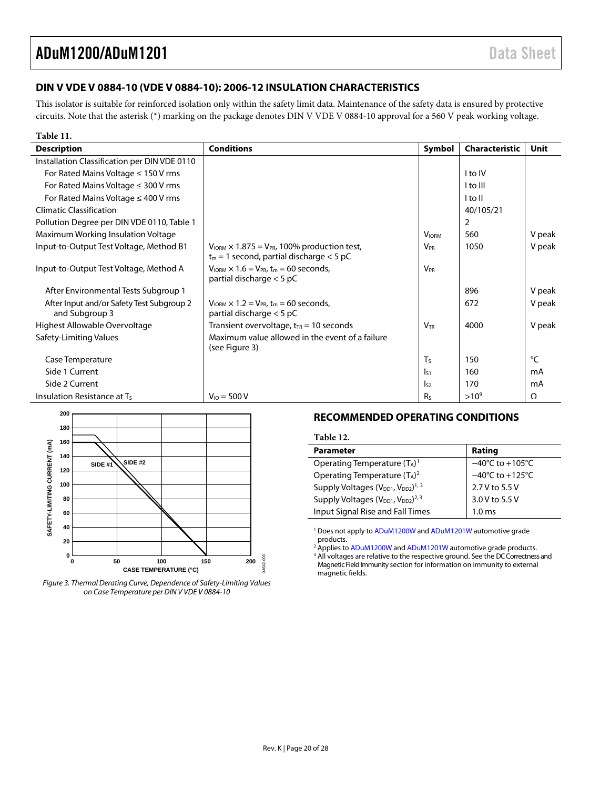## <span id="page-19-0"></span>**DIN V VDE V 0884-10 (VDE V 0884-10): 2006-12 INSULATION CHARACTERISTICS**

This isolator is suitable for reinforced isolation only within the safety limit data. Maintenance of the safety data is ensured by protective circuits. Note that the asterisk (\*) marking on the package denotes DIN V VDE V 0884-10 approval for a 560 V peak working voltage.

| Table 11.                                                   |                                                                                                           |                       |                |        |
|-------------------------------------------------------------|-----------------------------------------------------------------------------------------------------------|-----------------------|----------------|--------|
| <b>Description</b>                                          | <b>Conditions</b>                                                                                         | Symbol                | Characteristic | Unit   |
| Installation Classification per DIN VDE 0110                |                                                                                                           |                       |                |        |
| For Rated Mains Voltage $\leq 150$ V rms                    |                                                                                                           |                       | I to IV        |        |
| For Rated Mains Voltage $\leq$ 300 V rms                    |                                                                                                           |                       | I to III       |        |
| For Rated Mains Voltage $\leq$ 400 V rms                    |                                                                                                           |                       | I to II        |        |
| <b>Climatic Classification</b>                              |                                                                                                           |                       | 40/105/21      |        |
| Pollution Degree per DIN VDE 0110, Table 1                  |                                                                                                           |                       | 2              |        |
| Maximum Working Insulation Voltage                          |                                                                                                           | <b>VIORM</b>          | 560            | V peak |
| Input-to-Output Test Voltage, Method B1                     | $V_{IORM} \times 1.875 = V_{PR}$ , 100% production test,<br>$t_m = 1$ second, partial discharge < 5 pC    | <b>V<sub>PR</sub></b> | 1050           | V peak |
| Input-to-Output Test Voltage, Method A                      | $V_{IORM} \times 1.6 = V_{PR}$ , t <sub>m</sub> = 60 seconds,<br>partial discharge $<$ 5 pC               | $V_{\rm PR}$          |                |        |
| After Environmental Tests Subgroup 1                        |                                                                                                           |                       | 896            | V peak |
| After Input and/or Safety Test Subgroup 2<br>and Subgroup 3 | $V_{\text{IORM}} \times 1.2 = V_{\text{PR}}$ , t <sub>m</sub> = 60 seconds,<br>partial discharge $<$ 5 pC |                       | 672            | V peak |
| Highest Allowable Overvoltage                               | Transient overvoltage, $t_{TR}$ = 10 seconds                                                              | <b>VTR</b>            | 4000           | V peak |
| Safety-Limiting Values                                      | Maximum value allowed in the event of a failure<br>(see Figure 3)                                         |                       |                |        |
| Case Temperature                                            |                                                                                                           | T <sub>S</sub>        | 150            | °C     |
| Side 1 Current                                              |                                                                                                           | $\mathsf{ls}_1$       | 160            | mA     |
| Side 2 Current                                              |                                                                                                           | $\mathsf{I}_{52}$     | 170            | mA     |
| Insulation Resistance at Ts                                 | $V_{10} = 500 V$                                                                                          | Rs                    | $>10^{9}$      | Ω      |



<span id="page-19-2"></span>*Figure 3. Thermal Derating Curve, Dependence of Safety-Limiting Values on Case Temperature per DIN V VDE V 0884-10*

### <span id="page-19-1"></span>**RECOMMENDED OPERATING CONDITIONS**

#### **Table 12.**

| <b>Parameter</b>                                                       | Rating                               |
|------------------------------------------------------------------------|--------------------------------------|
| Operating Temperature $(T_A)^1$                                        | $-40^{\circ}$ C to $+105^{\circ}$ C  |
| Operating Temperature $(T_A)^2$                                        | $-40^{\circ}$ C to +125 $^{\circ}$ C |
| Supply Voltages (V <sub>DD1</sub> , V <sub>DD2</sub> ) <sup>1, 3</sup> | 2.7 V to 5.5 V                       |
| Supply Voltages $(V_{DD1}, V_{DD2})^{2,3}$                             | 3.0 V to 5.5 V                       |
| Input Signal Rise and Fall Times                                       | $1.0 \text{ ms}$                     |

<sup>1</sup> Does not apply t[o ADuM1200W](http://www.analog.com/ADuM1200?doc=ADuM1200_1201.pdf) an[d ADuM1201W](http://www.analog.com/ADuM1201?doc=ADuM1200_1201.pdf) automotive grade products.

<sup>2</sup> Applies t[o ADuM1200W](http://www.analog.com/ADuM1200?doc=ADuM1200_1201.pdf) an[d ADuM1201W](http://www.analog.com/ADuM1201?doc=ADuM1200_1201.pdf) automotive grade products. <sup>3</sup> All voltages are relative to the respective ground. See the DC Correctness and [Magnetic Field Immunity](#page-23-3) section for information on immunity to external magnetic fields.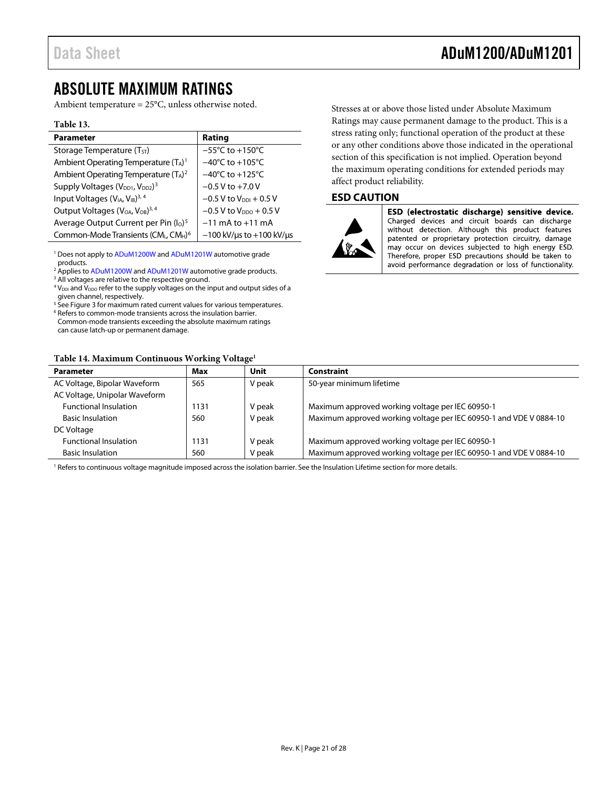# <span id="page-20-0"></span>ABSOLUTE MAXIMUM RATINGS

Ambient temperature = 25°C, unless otherwise noted.

#### **Table 13.**

| <b>Parameter</b>                                                    | Rating                                 |
|---------------------------------------------------------------------|----------------------------------------|
| Storage Temperature $(T_{ST})$                                      | $-55^{\circ}$ C to $+150^{\circ}$ C    |
| Ambient Operating Temperature $(T_A)^1$                             | $-40^{\circ}$ C to +105 $^{\circ}$ C   |
| Ambient Operating Temperature (TA) <sup>2</sup>                     | $-40^{\circ}$ C to $+125^{\circ}$ C    |
| Supply Voltages (V <sub>DD1</sub> , V <sub>DD2</sub> ) <sup>3</sup> | $-0.5$ V to $+7.0$ V                   |
| Input Voltages (V <sub>IA</sub> , V <sub>IB</sub> ) <sup>3, 4</sup> | $-0.5$ V to $V_{\text{DDI}} + 0.5$ V   |
| Output Voltages (V <sub>OA</sub> , V <sub>OB</sub> ) <sup>3,4</sup> | $-0.5$ V to $V_{DDO}$ + 0.5 V          |
| Average Output Current per Pin (Io) <sup>5</sup>                    | $-11$ mA to $+11$ mA                   |
| Common-Mode Transients (CML, CMH) <sup>6</sup>                      | $-100$ kV/ $\mu$ s to +100 kV/ $\mu$ s |

<sup>1</sup> Does not apply t[o ADuM1200W](http://www.analog.com/ADuM1200?doc=ADuM1200_1201.pdf) an[d ADuM1201W](http://www.analog.com/ADuM1200?doc=ADuM1200_1201.pdf) automotive grade products.

<sup>2</sup> Applies t[o ADuM1200W](http://www.analog.com/ADuM1200?doc=ADuM1200_1201.pdf) an[d ADuM1201W](http://www.analog.com/ADuM1201?doc=ADuM1200_1201.pdf) automotive grade products.

<sup>3</sup> All voltages are relative to the respective ground.

 $4$  V<sub>DDI</sub> and V<sub>DDO</sub> refer to the supply voltages on the input and output sides of a given channel, respectively.<br><sup>5</sup> See Figure 3 for maximum rated current values for various temperatures.

<sup>6</sup> Re[f](#page-19-2)ers to common-mode transients across the insulation barrier. Common-mode transients exceeding the absolute maximum ratings can cause latch-up or permanent damage.

#### <span id="page-20-2"></span>**Table 14. Maximum Continuous Working Voltage1**

Stresses at or above those listed under Absolute Maximum Ratings may cause permanent damage to the product. This is a stress rating only; functional operation of the product at these or any other conditions above those indicated in the operational section of this specification is not implied. Operation beyond the maximum operating conditions for extended periods may affect product reliability.

### <span id="page-20-1"></span>**ESD CAUTION**



ESD (electrostatic discharge) sensitive device. Charged devices and circuit boards can discharge without detection. Although this product features patented or proprietary protection circuitry, damage may occur on devices subjected to high energy ESD. Therefore, proper ESD precautions should be taken to avoid performance degradation or loss of functionality.

| Maximum approved working voltage per IEC 60950-1 and VDE V 0884-10 |
|--------------------------------------------------------------------|
|                                                                    |
|                                                                    |
| Maximum approved working voltage per IEC 60950-1 and VDE V 0884-10 |
|                                                                    |

<sup>1</sup> Refers to continuous voltage magnitude imposed across the isolation barrier. See th[e Insulation Lifetime](#page-24-1) section for more details.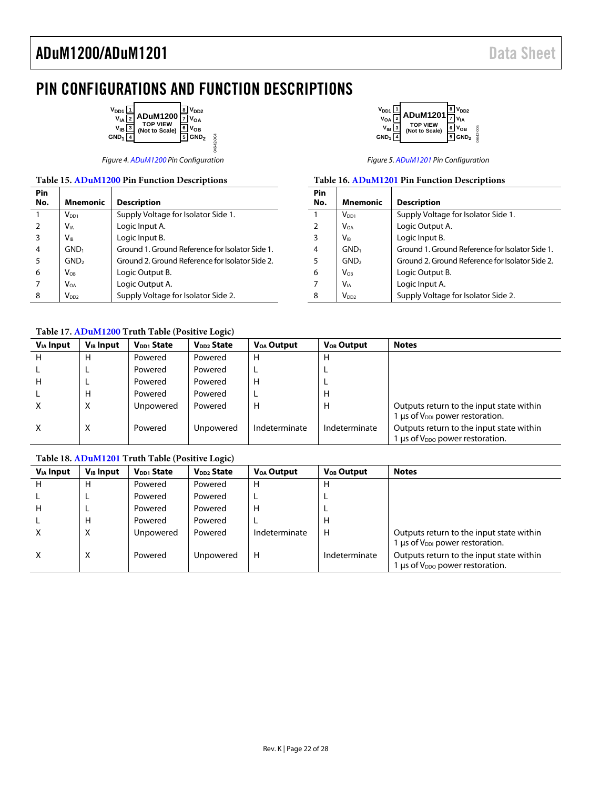⊤

# <span id="page-21-0"></span>PIN CONFIGURATIONS AND FUNCTION DESCRIPTIONS

04642-004

04642-004

| $V_{DD1}$<br>V <sub>IA</sub><br>$V_{IB}$<br>GND <sub>1</sub> | <b>ADuM1200</b><br>TOP VIEW<br>(Not to Scale) | $I_{DD2}$<br>$\prime_{\mathsf{OA}}$<br>۷ов<br>GND <sub>2</sub> |
|--------------------------------------------------------------|-----------------------------------------------|----------------------------------------------------------------|
|                                                              |                                               |                                                                |

#### **Table 15[. ADuM1200](http://www.analog.com/ADuM1200?doc=ADuM1200_1201.pdf) Pin Function Descriptions Pin**

| <b>Mnemonic</b>  | <b>Description</b>                              |
|------------------|-------------------------------------------------|
| $V_{DD1}$        | Supply Voltage for Isolator Side 1.             |
| $V_{IA}$         | Logic Input A.                                  |
| $V_{IR}$         | Logic Input B.                                  |
| GND <sub>1</sub> | Ground 1. Ground Reference for Isolator Side 1. |
| GND <sub>2</sub> | Ground 2. Ground Reference for Isolator Side 2. |
| $V_{OB}$         | Logic Output B.                                 |
| <b>VOA</b>       | Logic Output A.                                 |
| V <sub>DD2</sub> | Supply Voltage for Isolator Side 2.             |
|                  |                                                 |



Figure 4[. ADuM1200 P](http://www.analog.com/ADuM1200?doc=ADuM1200_1201.pdf)in Configuration Figure 5[. ADuM1201 P](http://www.analog.com/ADuM1201?doc=ADuM1200_1201.pdf)in Configuration Figure 5. ADuM1201 Pin Configuration

|  |  |  |  | Table 16. ADuM1201 Pin Function Descriptions |
|--|--|--|--|----------------------------------------------|
|--|--|--|--|----------------------------------------------|

| Pin |                  |                                                 |
|-----|------------------|-------------------------------------------------|
| No. | Mnemonic         | <b>Description</b>                              |
|     | $V_{DD1}$        | Supply Voltage for Isolator Side 1.             |
| 2   | $V_{OA}$         | Logic Output A.                                 |
| 3   | V <sub>IR</sub>  | Logic Input B.                                  |
| 4   | GND <sub>1</sub> | Ground 1. Ground Reference for Isolator Side 1. |
| 5   | GND <sub>2</sub> | Ground 2. Ground Reference for Isolator Side 2. |
| 6   | $V_{OR}$         | Logic Output B.                                 |
|     | Via              | Logic Input A.                                  |
| 8   | V <sub>DD2</sub> | Supply Voltage for Isolator Side 2.             |

#### <span id="page-21-1"></span>**Table 17[. ADuM1200](http://www.analog.com/ADuM1200?doc=ADuM1200_1201.pdf) Truth Table (Positive Logic)**

| $V_{IA}$ Input | $V_{IB}$ Input | V <sub>DD1</sub> State | V <sub>DD2</sub> State | <b>V<sub>OA</sub></b> Output | <b>V<sub>OB</sub></b> Output | <b>Notes</b>                                                                                 |
|----------------|----------------|------------------------|------------------------|------------------------------|------------------------------|----------------------------------------------------------------------------------------------|
| н              | н              | Powered                | Powered                | H                            | н                            |                                                                                              |
|                |                | Powered                | Powered                |                              |                              |                                                                                              |
| H              |                | Powered                | Powered                | н                            |                              |                                                                                              |
|                | н              | Powered                | Powered                |                              | Н                            |                                                                                              |
| X              | X              | Unpowered              | Powered                | н                            | Н                            | Outputs return to the input state within<br>1 $\mu$ s of V <sub>DDI</sub> power restoration. |
| X              | X              | Powered                | Unpowered              | Indeterminate                | Indeterminate                | Outputs return to the input state within<br>1 µs of V <sub>DDO</sub> power restoration.      |

#### <span id="page-21-2"></span>**Table 18[. ADuM1201](http://www.analog.com/ADuM1201?doc=ADuM1200_1201.pdf) Truth Table (Positive Logic)**

| $V_{IA}$ Input | $V_{IB}$ Input | V <sub>DD1</sub> State | V <sub>DD2</sub> State | V <sub>OA</sub> Output | V <sub>OB</sub> Output | <b>Notes</b>                                                                           |
|----------------|----------------|------------------------|------------------------|------------------------|------------------------|----------------------------------------------------------------------------------------|
| н              | н              | Powered                | Powered                | н                      | H                      |                                                                                        |
|                |                | Powered                | Powered                |                        |                        |                                                                                        |
| н              |                | Powered                | Powered                | н                      |                        |                                                                                        |
|                | н              | Powered                | Powered                |                        | Н                      |                                                                                        |
| x              | X              | Unpowered              | Powered                | Indeterminate          | H                      | Outputs return to the input state within<br>$1 \mu s$ of $V_{DD}$ power restoration.   |
| X              | Χ              | Powered                | Unpowered              | н                      | Indeterminate          | Outputs return to the input state within<br>Lus of V <sub>DDO</sub> power restoration. |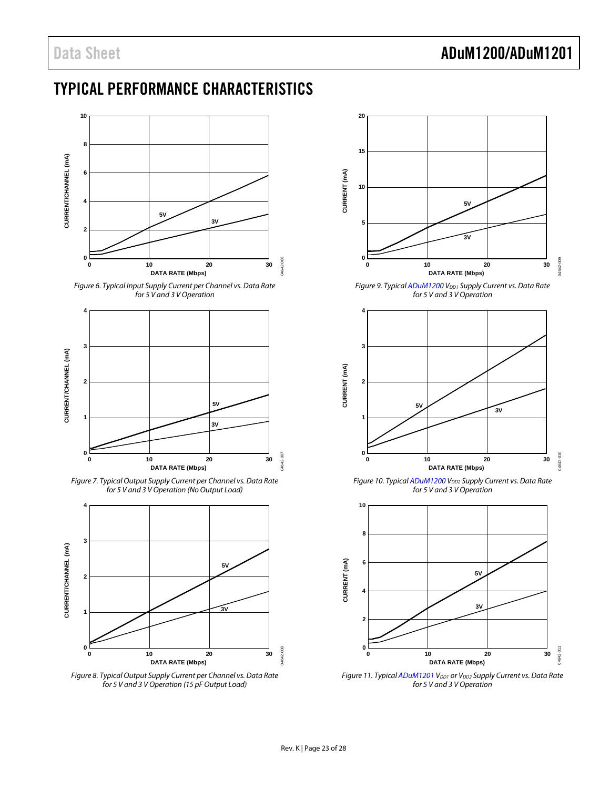# <span id="page-22-0"></span>TYPICAL PERFORMANCE CHARACTERISTICS



<span id="page-22-1"></span>



<span id="page-22-5"></span>*Figure 7. Typical Output Supply Current per Channel vs. Data Rate for 5 V and 3 V Operation (No Output Load)*



<span id="page-22-2"></span>*Figure 8. Typical Output Supply Current per Channel vs. Data Rate for 5 V and 3 V Operation (15 pF Output Load)*



<span id="page-22-3"></span>*Figure 9. Typica[l ADuM1200](http://www.analog.com/ADuM1200?doc=ADuM1200_1201.pdf) V<sub>DD1</sub> Supply Current vs. Data Rate for 5 V and 3 V Operation*



*Figure 10. Typica[l ADuM1200](http://www.analog.com/ADuM1200?doc=ADuM1200_1201.pdf) V<sub>DD2</sub> Supply Current vs. Data Rate for 5 V and 3 V Operation*



<span id="page-22-4"></span>*Figure 11. Typica[l ADuM1201](http://www.analog.com/ADuM1201?doc=ADuM1200_1201.pdf) V*<sub>DD1</sub> or *V*<sub>DD2</sub> Supply Current vs. Data Rate *for 5 V and 3 V Operation*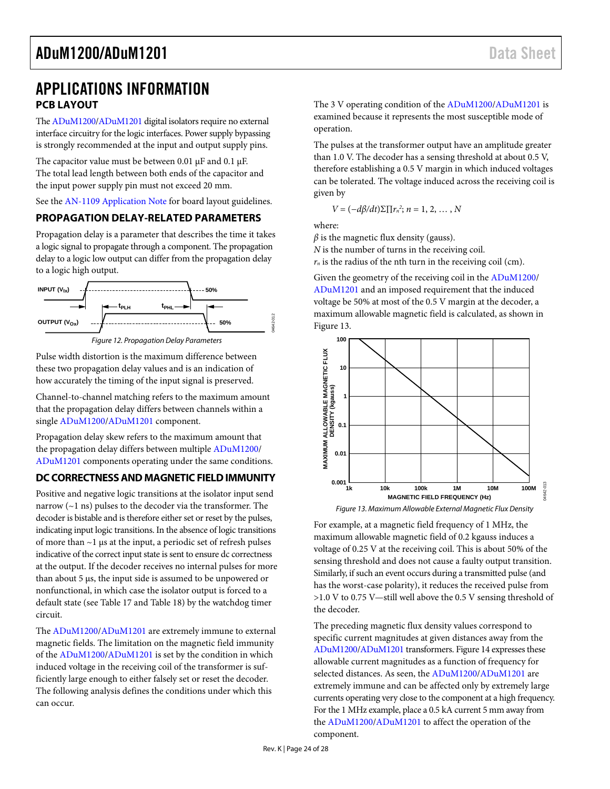# <span id="page-23-0"></span>APPLICATIONS INFORMATION **PCB LAYOUT**

<span id="page-23-1"></span>Th[e ADuM1200](http://www.analog.com/ADuM1200?doc=ADuM1200_1201.pdf)[/ADuM1201 d](http://www.analog.com/ADuM1201?doc=ADuM1200_1201.pdf)igital isolators require no external interface circuitry for the logic interfaces. Power supply bypassing is strongly recommended at the input and output supply pins.

The capacitor value must be between 0.01 μF and 0.1 μF. The total lead length between both ends of the capacitor and the input power supply pin must not exceed 20 mm.

See the [AN-1109 Application Note f](http://www.analog.com/AN-1109?doc=ADuM1200_1201.pdf)or board layout guidelines.

### <span id="page-23-2"></span>**PROPAGATION DELAY-RELATED PARAMETERS**

Propagation delay is a parameter that describes the time it takes a logic signal to propagate through a component. The propagation delay to a logic low output can differ from the propagation delay to a logic high output.



Pulse width distortion is the maximum difference between these two propagation delay values and is an indication of how accurately the timing of the input signal is preserved.

Channel-to-channel matching refers to the maximum amount that the propagation delay differs between channels within a singl[e ADuM1200](http://www.analog.com/ADuM1200?doc=ADuM1200_1201.pdf)[/ADuM1201](http://www.analog.com/ADuM1201?doc=ADuM1200_1201.pdf) component.

Propagation delay skew refers to the maximum amount that the propagation delay differs between multiple [ADuM1200/](http://www.analog.com/ADuM1200?doc=ADuM1200_1201.pdf) [ADuM1201 c](http://www.analog.com/ADuM1201?doc=ADuM1200_1201.pdf)omponents operating under the same conditions.

### <span id="page-23-3"></span>**DC CORRECTNESS AND MAGNETIC FIELD IMMUNITY**

Positive and negative logic transitions at the isolator input send narrow  $(-1 \text{ ns})$  pulses to the decoder via the transformer. The decoder is bistable and is therefore either set or reset by the pulses, indicating input logic transitions. In the absence of logic transitions of more than ~1 μs at the input, a periodic set of refresh pulses indicative of the correct input state is sent to ensure dc correctness at the output. If the decoder receives no internal pulses for more than about 5 μs, the input side is assumed to be unpowered or nonfunctional, in which case the isolator output is forced to a default state (see [Table 17 a](#page-21-1)nd [Table 18\)](#page-21-2) by the watchdog timer circuit.

The [ADuM1200/](http://www.analog.com/ADuM1200?doc=ADuM1200_1201.pdf)[ADuM1201 a](http://www.analog.com/ADuM1201?doc=ADuM1200_1201.pdf)re extremely immune to external magnetic fields. The limitation on the magnetic field immunity of the [ADuM1200](http://www.analog.com/ADuM1200?doc=ADuM1200_1201.pdf)[/ADuM1201 i](http://www.analog.com/ADuM1201?doc=ADuM1200_1201.pdf)s set by the condition in which induced voltage in the receiving coil of the transformer is sufficiently large enough to either falsely set or reset the decoder. The following analysis defines the conditions under which this can occur.

The 3 V operating condition of the [ADuM1200/](http://www.analog.com/ADuM1200?doc=ADuM1200_1201.pdf)[ADuM1201 i](http://www.analog.com/ADuM1201?doc=ADuM1200_1201.pdf)s examined because it represents the most susceptible mode of operation.

The pulses at the transformer output have an amplitude greater than 1.0 V. The decoder has a sensing threshold at about 0.5 V, therefore establishing a 0.5 V margin in which induced voltages can be tolerated. The voltage induced across the receiving coil is given by

$$
V = (-d\beta/dt)\Sigma \prod r_n^2; n = 1, 2, \ldots, N
$$

where:

 $\beta$  is the magnetic flux density (gauss). *N* is the number of turns in the receiving coil.

 $r_n$  is the radius of the nth turn in the receiving coil (cm).

Given the geometry of the receiving coil in the [ADuM1200/](http://www.analog.com/ADuM1200?doc=ADuM1200_1201.pdf) [ADuM1201 a](http://www.analog.com/ADuM1201?doc=ADuM1200_1201.pdf)nd an imposed requirement that the induced voltage be 50% at most of the 0.5 V margin at the decoder, a maximum allowable magnetic field is calculated, as shown in [Figure 13.](#page-23-4) 



Figure 13. Maximum Allowable External Magnetic Flux Density

<span id="page-23-4"></span>For example, at a magnetic field frequency of 1 MHz, the maximum allowable magnetic field of 0.2 kgauss induces a voltage of 0.25 V at the receiving coil. This is about 50% of the sensing threshold and does not cause a faulty output transition. Similarly, if such an event occurs during a transmitted pulse (and has the worst-case polarity), it reduces the received pulse from >1.0 V to 0.75 V—still well above the 0.5 V sensing threshold of the decoder.

The preceding magnetic flux density values correspond to specific current magnitudes at given distances away from the [ADuM1200](http://www.analog.com/ADuM1200?doc=ADuM1200_1201.pdf)[/ADuM1201 t](http://www.analog.com/ADuM1201?doc=ADuM1200_1201.pdf)ransformers[. Figure 14 e](#page-24-2)xpresses these allowable current magnitudes as a function of frequency for selected distances. As seen, th[e ADuM1200](http://www.analog.com/ADuM1200?doc=ADuM1200_1201.pdf)[/ADuM1201 a](http://www.analog.com/ADuM1201?doc=ADuM1200_1201.pdf)re extremely immune and can be affected only by extremely large currents operating very close to the component at a high frequency. For the 1 MHz example, place a 0.5 kA current 5 mm away from the [ADuM1200](http://www.analog.com/ADuM1200?doc=ADuM1200_1201.pdf)[/ADuM1201](http://www.analog.com/ADuM1201?doc=ADuM1200_1201.pdf) to affect the operation of the component.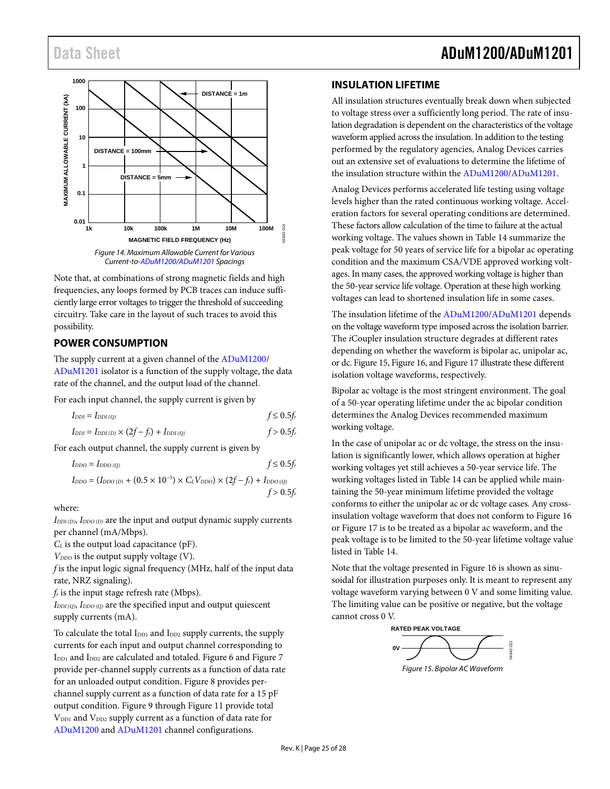

<span id="page-24-2"></span>Note that, at combinations of strong magnetic fields and high frequencies, any loops formed by PCB traces can induce sufficiently large error voltages to trigger the threshold of succeeding circuitry. Take care in the layout of such traces to avoid this possibility.

## <span id="page-24-0"></span>**POWER CONSUMPTION**

The supply current at a given channel of the [ADuM1200/](http://www.analog.com/ADuM1200?doc=ADuM1200_1201.pdf) [ADuM1201](http://www.analog.com/ADuM1201?doc=ADuM1200_1201.pdf) isolator is a function of the supply voltage, the data rate of the channel, and the output load of the channel.

For each input channel, the supply current is given by

$$
I_{DDI} = I_{DDI(Q)}
$$
  
\n
$$
I_{DDI} = I_{DDI(D)} \times (2f - f_r) + I_{DDI(Q)}
$$
  
\n
$$
f > 0.5f_r
$$

For each output channel, the supply current is given by

$$
I_{\text{DDO}} = I_{\text{DDO (Q)}} \qquad \qquad f \leq 0.5 f_r
$$

$$
I_{DDO} = (I_{DDO(D)} + (0.5 \times 10^{-3}) \times C_L V_{DDO}) \times (2f - f_r) + I_{DDO(Q)}
$$
  
  $f > 0.5f_r$ 

where:

*IDDI (D)*, *IDDO (D)* are the input and output dynamic supply currents per channel (mA/Mbps).

*CL* is the output load capacitance (pF).

*V<sub>DDO</sub>* is the output supply voltage (V).

*f* is the input logic signal frequency (MHz, half of the input data rate, NRZ signaling).

*fr* is the input stage refresh rate (Mbps).

*IDDI (Q)*, *IDDO (Q)* are the specified input and output quiescent supply currents (mA).

To calculate the total  $I_{DD1}$  and  $I_{DD2}$  supply currents, the supply currents for each input and output channel corresponding to I<sub>DD1</sub> and I<sub>DD2</sub> are calculated and totaled[. Figure 6](#page-22-1) and [Figure 7](#page-22-5) provide per-channel supply currents as a function of data rate for an unloaded output condition. [Figure 8](#page-22-2) provides perchannel supply current as a function of data rate for a 15 pF output condition[. Figure 9](#page-22-3) throug[h Figure 11](#page-22-4) provide total  $V_{DD1}$  and  $V_{DD2}$  supply current as a function of data rate for [ADuM1200](http://www.analog.com/ADuM1200?doc=ADuM1200_1201.pdf) and [ADuM1201](http://www.analog.com/ADuM1201?doc=ADuM1200_1201.pdf) channel configurations.

### <span id="page-24-1"></span>**INSULATION LIFETIME**

All insulation structures eventually break down when subjected to voltage stress over a sufficiently long period. The rate of insulation degradation is dependent on the characteristics of the voltage waveform applied across the insulation. In addition to the testing performed by the regulatory agencies, Analog Devices carries out an extensive set of evaluations to determine the lifetime of the insulation structure within the [ADuM1200/](http://www.analog.com/ADuM1200?doc=ADuM1200_1201.pdf)[ADuM1201.](http://www.analog.com/ADuM1201?doc=ADuM1200_1201.pdf)

Analog Devices performs accelerated life testing using voltage levels higher than the rated continuous working voltage. Acceleration factors for several operating conditions are determined. These factors allow calculation of the time to failure at the actual working voltage. The values shown i[n Table 14](#page-20-2) summarize the peak voltage for 50 years of service life for a bipolar ac operating condition and the maximum CSA/VDE approved working voltages. In many cases, the approved working voltage is higher than the 50-year service life voltage. Operation at these high working voltages can lead to shortened insulation life in some cases.

The insulation lifetime of th[e ADuM1200/](http://www.analog.com/ADuM1200?doc=ADuM1200_1201.pdf)[ADuM1201](http://www.analog.com/ADuM1201?doc=ADuM1200_1201.pdf) depends on the voltage waveform type imposed across the isolation barrier. The *i*Coupler insulation structure degrades at different rates depending on whether the waveform is bipolar ac, unipolar ac, or dc[. Figure 15,](#page-24-3) [Figure 16,](#page-25-0) an[d Figure 17](#page-25-1) illustrate these different isolation voltage waveforms, respectively.

Bipolar ac voltage is the most stringent environment. The goal of a 50-year operating lifetime under the ac bipolar condition determines the Analog Devices recommended maximum working voltage.

In the case of unipolar ac or dc voltage, the stress on the insulation is significantly lower, which allows operation at higher working voltages yet still achieves a 50-year service life. The working voltages listed i[n Table 14](#page-20-2) can be applied while maintaining the 50-year minimum lifetime provided the voltage conforms to either the unipolar ac or dc voltage cases. Any crossinsulation voltage waveform that does not conform t[o Figure 16](#page-25-0) o[r Figure 17](#page-25-1) is to be treated as a bipolar ac waveform, and the peak voltage is to be limited to the 50-year lifetime voltage value listed in [Table 14.](#page-20-2)

Note that the voltage presented i[n Figure 16](#page-25-0) is shown as sinusoidal for illustration purposes only. It is meant to represent any voltage waveform varying between 0 V and some limiting value. The limiting value can be positive or negative, but the voltage cannot cross 0 V.

<span id="page-24-3"></span>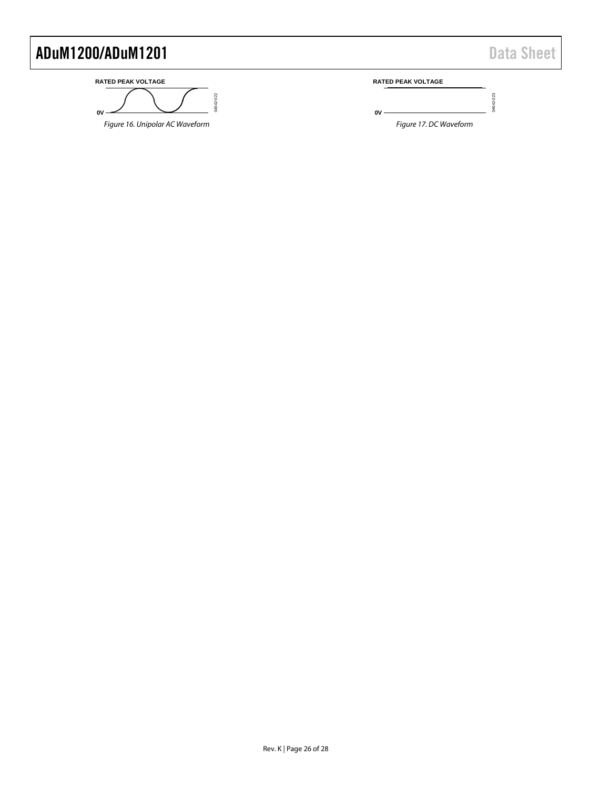04642-023

04642-023

#### <span id="page-25-0"></span>**RATED PEAK VOLTAGE** 14642-022 04642-022 **0V** Figure 16. Unipolar AC Waveform

**RATED PEAK VOLTAGE**

<span id="page-25-1"></span>**0V**

Figure 17. DC Waveform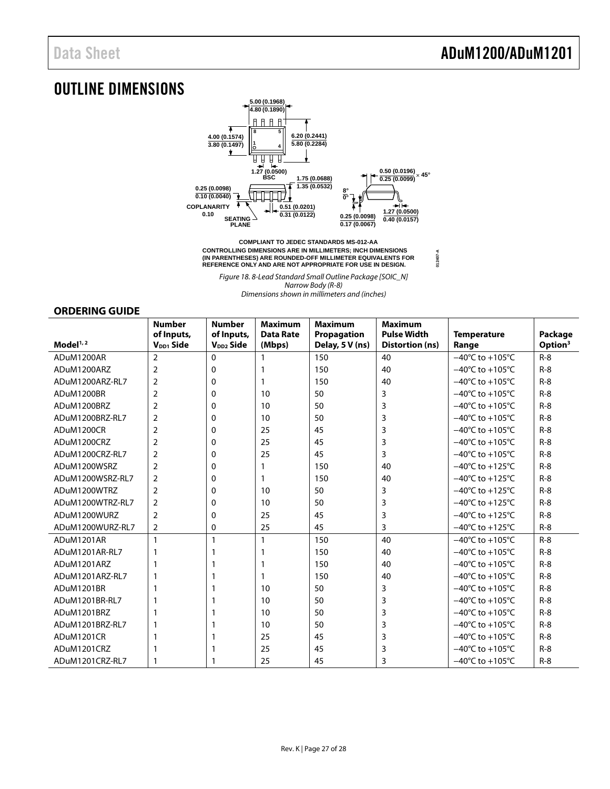**012407-A**

# <span id="page-26-1"></span>OUTLINE DIMENSIONS



**CONTROLLING DIMENSIONS ARE IN MILLIMETERS; INCH DIMENSIONS (IN PARENTHESES) ARE ROUNDED-OFF MILLIMETER EQUIVALENTS FOR REFERENCE ONLY AND ARE NOT APPROPRIATE FOR USE IN DESIGN.**

Figure 18. 8-Lead Standard Small Outline Package [SOIC\_N] Narrow Body (R-8) Dimensions shown in millimeters and (inches)

#### <span id="page-26-0"></span>**ORDERING GUIDE**

|                      | <b>Number</b>                       | <b>Number</b>                       | <b>Maximum</b>             | <b>Maximum</b>                 | <b>Maximum</b>                               |                                      |                                |
|----------------------|-------------------------------------|-------------------------------------|----------------------------|--------------------------------|----------------------------------------------|--------------------------------------|--------------------------------|
| Model <sup>1,2</sup> | of Inputs,<br>V <sub>DD1</sub> Side | of Inputs,<br>V <sub>DD2</sub> Side | <b>Data Rate</b><br>(Mbps) | Propagation<br>Delay, 5 V (ns) | <b>Pulse Width</b><br><b>Distortion (ns)</b> | <b>Temperature</b><br>Range          | Package<br>Option <sup>3</sup> |
| ADuM1200AR           | $\overline{2}$                      | $\Omega$                            |                            | 150                            | 40                                           | $-40^{\circ}$ C to $+105^{\circ}$ C  | $R - 8$                        |
| ADuM1200ARZ          | $\overline{2}$                      | 0                                   | 1                          | 150                            | 40                                           | $-40^{\circ}$ C to $+105^{\circ}$ C  | $R-8$                          |
| ADuM1200ARZ-RL7      | $\overline{2}$                      | 0                                   | 1                          | 150                            | 40                                           | $-40^{\circ}$ C to +105 $^{\circ}$ C | $R-8$                          |
| ADuM1200BR           | $\overline{2}$                      | 0                                   | 10                         | 50                             | 3                                            | $-40^{\circ}$ C to $+105^{\circ}$ C  | $R - 8$                        |
| ADuM1200BRZ          | $\overline{2}$                      | 0                                   | 10                         | 50                             | 3                                            | $-40^{\circ}$ C to $+105^{\circ}$ C  | $R-8$                          |
| ADuM1200BRZ-RL7      | $\overline{2}$                      | 0                                   | 10                         | 50                             | 3                                            | $-40^{\circ}$ C to $+105^{\circ}$ C  | $R-8$                          |
| ADuM1200CR           | $\overline{2}$                      | 0                                   | 25                         | 45                             | 3                                            | $-40^{\circ}$ C to $+105^{\circ}$ C  | $R-8$                          |
| ADuM1200CRZ          | $\overline{2}$                      | 0                                   | 25                         | 45                             | 3                                            | $-40^{\circ}$ C to $+105^{\circ}$ C  | $R - 8$                        |
| ADuM1200CRZ-RL7      | 2                                   | 0                                   | 25                         | 45                             | 3                                            | $-40^{\circ}$ C to +105 $^{\circ}$ C | $R-8$                          |
| ADuM1200WSRZ         | $\overline{2}$                      | 0                                   | 1                          | 150                            | 40                                           | $-40^{\circ}$ C to $+125^{\circ}$ C  | $R-8$                          |
| ADuM1200WSRZ-RL7     | $\overline{2}$                      | 0                                   | 1                          | 150                            | 40                                           | $-40^{\circ}$ C to +125 $^{\circ}$ C | $R-8$                          |
| ADuM1200WTRZ         | $\overline{2}$                      | 0                                   | 10                         | 50                             | 3                                            | $-40^{\circ}$ C to $+125^{\circ}$ C  | $R-8$                          |
| ADuM1200WTRZ-RL7     | $\overline{2}$                      | 0                                   | 10                         | 50                             | 3                                            | $-40^{\circ}$ C to $+125^{\circ}$ C  | $R - 8$                        |
| ADuM1200WURZ         | $\overline{2}$                      | $\Omega$                            | 25                         | 45                             | 3                                            | $-40^{\circ}$ C to $+125^{\circ}$ C  | $R-8$                          |
| ADuM1200WURZ-RL7     | $\overline{2}$                      | 0                                   | 25                         | 45                             | 3                                            | $-40^{\circ}$ C to +125 $^{\circ}$ C | $R-8$                          |
| ADuM1201AR           |                                     | 1                                   | $\mathbf{1}$               | 150                            | 40                                           | $-40^{\circ}$ C to $+105^{\circ}$ C  | $R-8$                          |
| ADuM1201AR-RL7       |                                     | 1                                   | 1                          | 150                            | 40                                           | $-40^{\circ}$ C to $+105^{\circ}$ C  | $R-8$                          |
| ADuM1201ARZ          |                                     |                                     | 1                          | 150                            | 40                                           | $-40^{\circ}$ C to $+105^{\circ}$ C  | $R - 8$                        |
| ADuM1201ARZ-RL7      |                                     |                                     | 1                          | 150                            | 40                                           | $-40^{\circ}$ C to $+105^{\circ}$ C  | $R-8$                          |
| ADuM1201BR           | 1                                   | 1                                   | 10                         | 50                             | 3                                            | $-40^{\circ}$ C to $+105^{\circ}$ C  | $R-8$                          |
| ADuM1201BR-RL7       |                                     | 1                                   | 10                         | 50                             | 3                                            | $-40^{\circ}$ C to +105 $^{\circ}$ C | $R - 8$                        |
| ADuM1201BRZ          |                                     |                                     | 10                         | 50                             | 3                                            | $-40^{\circ}$ C to $+105^{\circ}$ C  | $R-8$                          |
| ADuM1201BRZ-RL7      |                                     | 1                                   | 10                         | 50                             | 3                                            | $-40^{\circ}$ C to $+105^{\circ}$ C  | $R-8$                          |
| ADuM1201CR           |                                     | 1                                   | 25                         | 45                             | 3                                            | $-40^{\circ}$ C to $+105^{\circ}$ C  | $R-8$                          |
| ADuM1201CRZ          |                                     |                                     | 25                         | 45                             | 3                                            | $-40^{\circ}$ C to +105 $^{\circ}$ C | $R - 8$                        |
| ADuM1201CRZ-RL7      | 1                                   |                                     | 25                         | 45                             | 3                                            | $-40^{\circ}$ C to $+105^{\circ}$ C  | $R-8$                          |